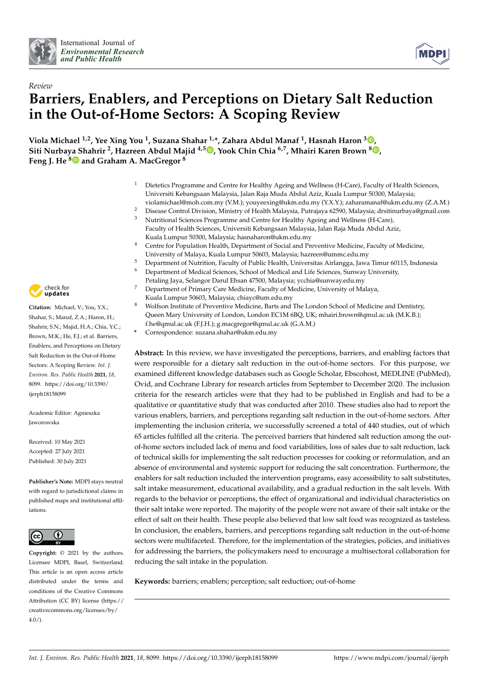



# *Review* **Barriers, Enablers, and Perceptions on Dietary Salt Reduction in the Out-of-Home Sectors: A Scoping Review**

**Viola Michael 1,2, Yee Xing You <sup>1</sup> , Suzana Shahar 1,\*, Zahara Abdul Manaf <sup>1</sup> , Hasnah Haron <sup>3</sup> [,](https://orcid.org/0000-0002-6410-7283) Siti Nurbaya Shahrir <sup>2</sup> , Hazreen Abdul Majid 4,5 [,](https://orcid.org/0000-0002-2718-8424) Yook Chin Chia 6,7, Mhairi Karen Brown <sup>8</sup> [,](https://orcid.org/0000-0001-6991-700X) Feng J. He [8](https://orcid.org/0000-0003-2807-4119) and Graham A. MacGregor <sup>8</sup>**

- <sup>1</sup> Dietetics Programme and Centre for Healthy Ageing and Wellness (H-Care), Faculty of Health Sciences, Universiti Kebangsaan Malaysia, Jalan Raja Muda Abdul Aziz, Kuala Lumpur 50300, Malaysia; violamichael@moh.com.my (V.M.); youyeexing@ukm.edu.my (Y.X.Y.); zaharamanaf@ukm.edu.my (Z.A.M.)
- <sup>2</sup> Disease Control Division, Ministry of Health Malaysia, Putrajaya 62590, Malaysia; drsitinurbaya@gmail.com
- <sup>3</sup> Nutritional Sciences Programme and Centre for Healthy Ageing and Wellness (H-Care), Faculty of Health Sciences, Universiti Kebangsaan Malaysia, Jalan Raja Muda Abdul Aziz, Kuala Lumpur 50300, Malaysia; hasnaharon@ukm.edu.my
- <sup>4</sup> Centre for Population Health, Department of Social and Preventive Medicine, Faculty of Medicine, University of Malaya, Kuala Lumpur 50603, Malaysia; hazreen@ummc.edu.my
- 
- <sup>5</sup> Department of Nutrition, Faculty of Public Health, Universitas Airlangga, Jawa Timur 60115, Indonesia<br><sup>6</sup> Department of Medical Sciences, School of Medical and Life Sciences, Sunway University <sup>6</sup> Department of Medical Sciences, School of Medical and Life Sciences, Sunway University, Petaling Jaya, Selangor Darul Ehsan 47500, Malaysia; ycchia@sunway.edu.my
- <sup>7</sup> Department of Primary Care Medicine, Faculty of Medicine, University of Malaya,
- Kuala Lumpur 50603, Malaysia; chiayc@um.edu.my
- <sup>8</sup> Wolfson Institute of Preventive Medicine, Barts and The London School of Medicine and Dentistry, Queen Mary University of London, London EC1M 6BQ, UK; mhairi.brown@qmul.ac.uk (M.K.B.); f.he@qmul.ac.uk (F.J.H.); g.macgregor@qmul.ac.uk (G.A.M.)
- **\*** Correspondence: suzana.shahar@ukm.edu.my

**Abstract:** In this review, we have investigated the perceptions, barriers, and enabling factors that were responsible for a dietary salt reduction in the out-of-home sectors. For this purpose, we examined different knowledge databases such as Google Scholar, Ebscohost, MEDLINE (PubMed), Ovid, and Cochrane Library for research articles from September to December 2020. The inclusion criteria for the research articles were that they had to be published in English and had to be a qualitative or quantitative study that was conducted after 2010. These studies also had to report the various enablers, barriers, and perceptions regarding salt reduction in the out-of-home sectors. After implementing the inclusion criteria, we successfully screened a total of 440 studies, out of which 65 articles fulfilled all the criteria. The perceived barriers that hindered salt reduction among the outof-home sectors included lack of menu and food variabilities, loss of sales due to salt reduction, lack of technical skills for implementing the salt reduction processes for cooking or reformulation, and an absence of environmental and systemic support for reducing the salt concentration. Furthermore, the enablers for salt reduction included the intervention programs, easy accessibility to salt substitutes, salt intake measurement, educational availability, and a gradual reduction in the salt levels. With regards to the behavior or perceptions, the effect of organizational and individual characteristics on their salt intake were reported. The majority of the people were not aware of their salt intake or the effect of salt on their health. These people also believed that low salt food was recognized as tasteless. In conclusion, the enablers, barriers, and perceptions regarding salt reduction in the out-of-home sectors were multifaceted. Therefore, for the implementation of the strategies, policies, and initiatives for addressing the barriers, the policymakers need to encourage a multisectoral collaboration for reducing the salt intake in the population.

**Keywords:** barriers; enablers; perception; salt reduction; out-of-home



**Citation:** Michael, V.; You, Y.X.; Shahar, S.; Manaf, Z.A.; Haron, H.; Shahrir, S.N.; Majid, H.A.; Chia, Y.C.; Brown, M.K.; He, F.J.; et al. Barriers, Enablers, and Perceptions on Dietary Salt Reduction in the Out-of-Home Sectors: A Scoping Review. *Int. J. Environ. Res. Public Health* **2021**, *18*, 8099. [https://doi.org/10.3390/](https://doi.org/10.3390/ijerph18158099) [ijerph18158099](https://doi.org/10.3390/ijerph18158099)

Academic Editor: Agnieszka Jaworowska

Received: 10 May 2021 Accepted: 27 July 2021 Published: 30 July 2021

**Publisher's Note:** MDPI stays neutral with regard to jurisdictional claims in published maps and institutional affiliations.



**Copyright:** © 2021 by the authors. Licensee MDPI, Basel, Switzerland. This article is an open access article distributed under the terms and conditions of the Creative Commons Attribution (CC BY) license (https:/[/](https://creativecommons.org/licenses/by/4.0/) [creativecommons.org/licenses/by/](https://creativecommons.org/licenses/by/4.0/)  $4.0/$ ).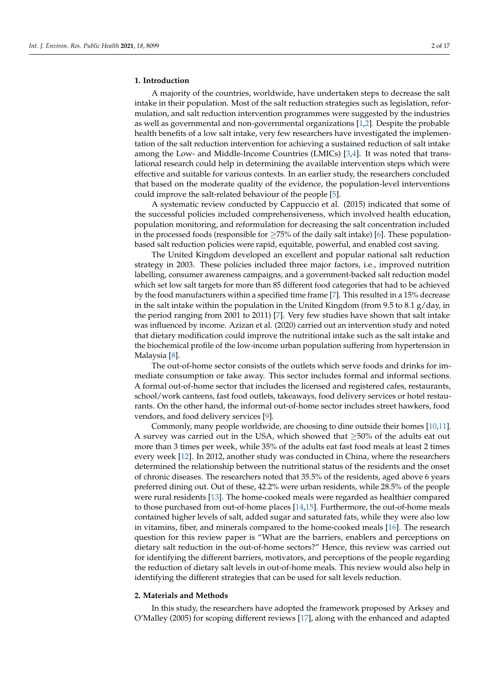#### **1. Introduction**

A majority of the countries, worldwide, have undertaken steps to decrease the salt intake in their population. Most of the salt reduction strategies such as legislation, reformulation, and salt reduction intervention programmes were suggested by the industries as well as governmental and non-governmental organizations [\[1](#page-12-0)[,2\]](#page-12-1). Despite the probable health benefits of a low salt intake, very few researchers have investigated the implementation of the salt reduction intervention for achieving a sustained reduction of salt intake among the Low- and Middle-Income Countries (LMICs) [\[3](#page-12-2)[,4\]](#page-12-3). It was noted that translational research could help in determining the available intervention steps which were effective and suitable for various contexts. In an earlier study, the researchers concluded that based on the moderate quality of the evidence, the population-level interventions could improve the salt-related behaviour of the people [\[5\]](#page-12-4).

A systematic review conducted by Cappuccio et al. (2015) indicated that some of the successful policies included comprehensiveness, which involved health education, population monitoring, and reformulation for decreasing the salt concentration included in the processed foods (responsible for  $\geq$ 75% of the daily salt intake) [\[6\]](#page-12-5). These populationbased salt reduction policies were rapid, equitable, powerful, and enabled cost saving.

The United Kingdom developed an excellent and popular national salt reduction strategy in 2003. These policies included three major factors, i.e., improved nutrition labelling, consumer awareness campaigns, and a government-backed salt reduction model which set low salt targets for more than 85 different food categories that had to be achieved by the food manufacturers within a specified time frame [\[7\]](#page-13-0). This resulted in a 15% decrease in the salt intake within the population in the United Kingdom (from 9.5 to 8.1  $g$ /day, in the period ranging from 2001 to 2011) [\[7\]](#page-13-0). Very few studies have shown that salt intake was influenced by income. Azizan et al. (2020) carried out an intervention study and noted that dietary modification could improve the nutritional intake such as the salt intake and the biochemical profile of the low-income urban population suffering from hypertension in Malaysia [\[8\]](#page-13-1).

The out-of-home sector consists of the outlets which serve foods and drinks for immediate consumption or take away. This sector includes formal and informal sections. A formal out-of-home sector that includes the licensed and registered cafes, restaurants, school/work canteens, fast food outlets, takeaways, food delivery services or hotel restaurants. On the other hand, the informal out-of-home sector includes street hawkers, food vendors, and food delivery services [\[9\]](#page-13-2).

Commonly, many people worldwide, are choosing to dine outside their homes [\[10](#page-13-3)[,11\]](#page-13-4). A survey was carried out in the USA, which showed that  $\geq$ 50% of the adults eat out more than 3 times per week, while 35% of the adults eat fast food meals at least 2 times every week [\[12\]](#page-13-5). In 2012, another study was conducted in China, where the researchers determined the relationship between the nutritional status of the residents and the onset of chronic diseases. The researchers noted that 35.5% of the residents, aged above 6 years preferred dining out. Out of these, 42.2% were urban residents, while 28.5% of the people were rural residents [\[13\]](#page-13-6). The home-cooked meals were regarded as healthier compared to those purchased from out-of-home places [\[14](#page-13-7)[,15\]](#page-13-8). Furthermore, the out-of-home meals contained higher levels of salt, added sugar and saturated fats, while they were also low in vitamins, fiber, and minerals compared to the home-cooked meals [\[16\]](#page-13-9). The research question for this review paper is "What are the barriers, enablers and perceptions on dietary salt reduction in the out-of-home sectors?" Hence, this review was carried out for identifying the different barriers, motivators, and perceptions of the people regarding the reduction of dietary salt levels in out-of-home meals. This review would also help in identifying the different strategies that can be used for salt levels reduction.

# **2. Materials and Methods**

In this study, the researchers have adopted the framework proposed by Arksey and O'Malley (2005) for scoping different reviews [\[17\]](#page-13-10), along with the enhanced and adapted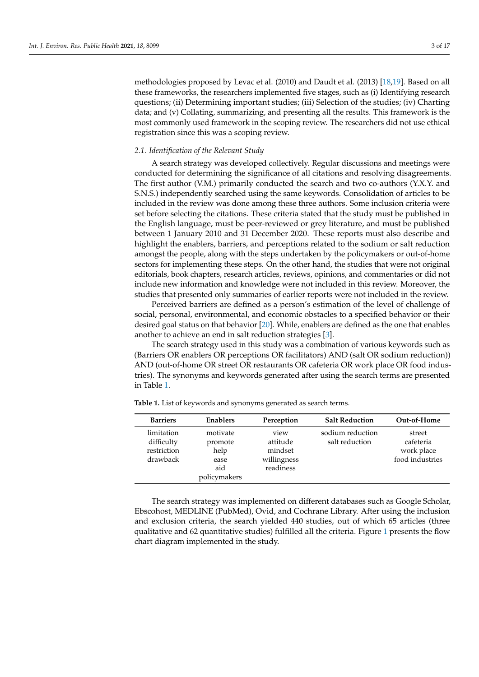methodologies proposed by Levac et al. (2010) and Daudt et al. (2013) [\[18,](#page-13-11)[19\]](#page-13-12). Based on all these frameworks, the researchers implemented five stages, such as (i) Identifying research questions; (ii) Determining important studies; (iii) Selection of the studies; (iv) Charting data; and (v) Collating, summarizing, and presenting all the results. This framework is the most commonly used framework in the scoping review. The researchers did not use ethical registration since this was a scoping review.

## *2.1. Identification of the Relevant Study*

A search strategy was developed collectively. Regular discussions and meetings were conducted for determining the significance of all citations and resolving disagreements. The first author (V.M.) primarily conducted the search and two co-authors (Y.X.Y. and S.N.S.) independently searched using the same keywords. Consolidation of articles to be included in the review was done among these three authors. Some inclusion criteria were set before selecting the citations. These criteria stated that the study must be published in the English language, must be peer-reviewed or grey literature, and must be published between 1 January 2010 and 31 December 2020. These reports must also describe and highlight the enablers, barriers, and perceptions related to the sodium or salt reduction amongst the people, along with the steps undertaken by the policymakers or out-of-home sectors for implementing these steps. On the other hand, the studies that were not original editorials, book chapters, research articles, reviews, opinions, and commentaries or did not include new information and knowledge were not included in this review. Moreover, the studies that presented only summaries of earlier reports were not included in the review.

Perceived barriers are defined as a person's estimation of the level of challenge of social, personal, environmental, and economic obstacles to a specified behavior or their desired goal status on that behavior [\[20\]](#page-13-13). While, enablers are defined as the one that enables another to achieve an end in salt reduction strategies [\[3\]](#page-12-2).

The search strategy used in this study was a combination of various keywords such as (Barriers OR enablers OR perceptions OR facilitators) AND (salt OR sodium reduction)) AND (out-of-home OR street OR restaurants OR cafeteria OR work place OR food industries). The synonyms and keywords generated after using the search terms are presented in Table [1.](#page-2-0)

| <b>Barriers</b>                                     | Enablers                                                   | Perception                                              | <b>Salt Reduction</b>              | Out-of-Home                                          |
|-----------------------------------------------------|------------------------------------------------------------|---------------------------------------------------------|------------------------------------|------------------------------------------------------|
| limitation<br>difficulty<br>restriction<br>drawback | motivate<br>promote<br>help<br>ease<br>aid<br>policymakers | view<br>attitude<br>mindset<br>willingness<br>readiness | sodium reduction<br>salt reduction | street<br>cafeteria<br>work place<br>food industries |

<span id="page-2-0"></span>**Table 1.** List of keywords and synonyms generated as search terms.

The search strategy was implemented on different databases such as Google Scholar, Ebscohost, MEDLINE (PubMed), Ovid, and Cochrane Library. After using the inclusion and exclusion criteria, the search yielded 440 studies, out of which 65 articles (three qualitative and 62 quantitative studies) fulfilled all the criteria. Figure [1](#page-3-0) presents the flow chart diagram implemented in the study.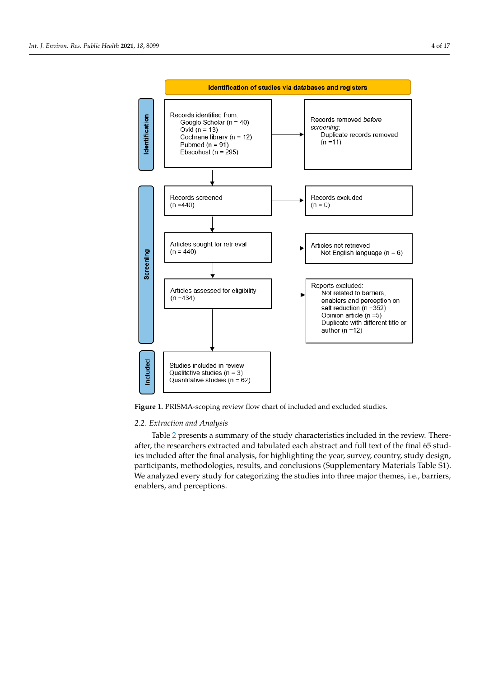<span id="page-3-0"></span>

**Figure 1.** PRISMA-scoping review flow chart of included and excluded studies. **Figure 1.** PRISMA-scoping review flow chart of included and excluded studies.

# *2.2. Extraction and Analysis*

Table [2](#page-4-0) presents a summary of the study characteristics included in the review. Thereafter, the researchers extracted and tabulated each abstract and full text of the final 65 studies included after the final analysis, for highlighting the year, survey, country, study design, participants, methodologies, results, and conclusions (Supplementary Materials Table S1). We analyzed every study for categorizing the studies into three major themes, i.e., barriers, enablers, and perceptions. We are studied the studies into the studies into the studies into the studies into the studies in the studies of the studies of the studies of the studies of the studies of the studies of the stu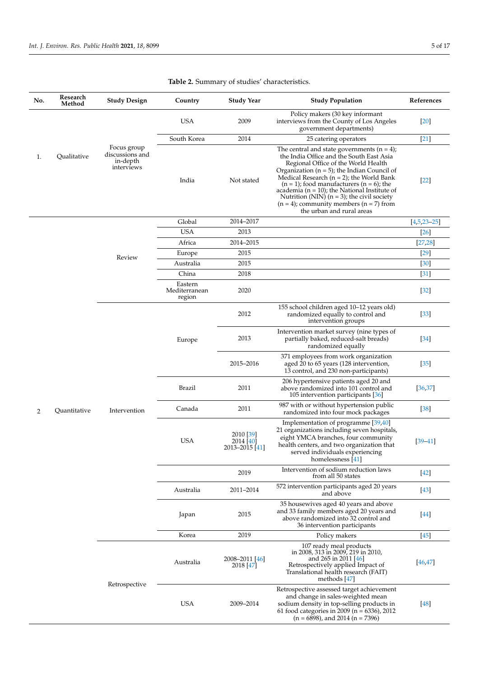<span id="page-4-0"></span>

| No.               | Research<br>Method | <b>Study Design</b>                                      | Country                            | <b>Study Year</b>                        | <b>Study Population</b>                                                                                                                                                                                                                                                                                                                                                                                                                                                 | References    |
|-------------------|--------------------|----------------------------------------------------------|------------------------------------|------------------------------------------|-------------------------------------------------------------------------------------------------------------------------------------------------------------------------------------------------------------------------------------------------------------------------------------------------------------------------------------------------------------------------------------------------------------------------------------------------------------------------|---------------|
|                   |                    |                                                          | <b>USA</b>                         | 2009                                     | Policy makers (30 key informant<br>interviews from the County of Los Angeles<br>government departments)                                                                                                                                                                                                                                                                                                                                                                 | $[20]$        |
| Qualitative<br>1. |                    | South Korea                                              | 2014                               | 25 catering operators                    | $[21]$                                                                                                                                                                                                                                                                                                                                                                                                                                                                  |               |
|                   |                    | Focus group<br>discussions and<br>in-depth<br>interviews | India                              | Not stated                               | The central and state governments $(n = 4)$ ;<br>the India Office and the South East Asia<br>Regional Office of the World Health<br>Organization ( $n = 5$ ); the Indian Council of<br>Medical Research ( $n = 2$ ); the World Bank<br>$(n = 1)$ ; food manufacturers $(n = 6)$ ; the<br>academia ( $n = 10$ ); the National Institute of<br>Nutrition (NIN) $(n = 3)$ ; the civil society<br>$(n = 4)$ ; community members $(n = 7)$ from<br>the urban and rural areas | $[22]$        |
|                   |                    |                                                          | Global                             | 2014-2017                                |                                                                                                                                                                                                                                                                                                                                                                                                                                                                         | $[4,5,23-25]$ |
|                   |                    |                                                          | <b>USA</b>                         | 2013                                     |                                                                                                                                                                                                                                                                                                                                                                                                                                                                         | $[26]$        |
|                   |                    |                                                          | Africa                             | 2014-2015                                |                                                                                                                                                                                                                                                                                                                                                                                                                                                                         | [27, 28]      |
|                   |                    |                                                          | Europe                             | 2015                                     |                                                                                                                                                                                                                                                                                                                                                                                                                                                                         | $[29]$        |
|                   |                    | Review                                                   | Australia                          | 2015                                     |                                                                                                                                                                                                                                                                                                                                                                                                                                                                         | $[30]$        |
|                   |                    |                                                          | China                              | 2018                                     |                                                                                                                                                                                                                                                                                                                                                                                                                                                                         | $[31]$        |
| 2                 |                    |                                                          | Eastern<br>Mediterranean<br>region | 2020                                     |                                                                                                                                                                                                                                                                                                                                                                                                                                                                         | $[32]$        |
|                   |                    | Intervention                                             |                                    | 2012                                     | 155 school children aged 10-12 years old)<br>randomized equally to control and<br>intervention groups                                                                                                                                                                                                                                                                                                                                                                   | $[33]$        |
|                   |                    |                                                          | Europe                             | 2013                                     | Intervention market survey (nine types of<br>partially baked, reduced-salt breads)<br>randomized equally                                                                                                                                                                                                                                                                                                                                                                | $[34]$        |
|                   |                    |                                                          |                                    | 2015-2016                                | 371 employees from work organization<br>aged 20 to 65 years (128 intervention,<br>13 control, and 230 non-participants)                                                                                                                                                                                                                                                                                                                                                 | $[35]$        |
|                   |                    |                                                          | Brazil                             | 2011                                     | 206 hypertensive patients aged 20 and<br>above randomized into 101 control and<br>105 intervention participants [36]                                                                                                                                                                                                                                                                                                                                                    | [36, 37]      |
|                   | Quantitative       |                                                          | Canada                             | 2011                                     | 987 with or without hypertension public<br>randomized into four mock packages                                                                                                                                                                                                                                                                                                                                                                                           | $[38]$        |
|                   |                    |                                                          | <b>USA</b>                         | 2010 [39]<br>2014 [40]<br>2013–2015 [41] | Implementation of programme [39,40]<br>21 organizations including seven hospitals,<br>eight YMCA branches, four community<br>health centers, and two organization that<br>served individuals experiencing<br>homelessness $[41]$                                                                                                                                                                                                                                        | $[39 - 41]$   |
|                   |                    |                                                          |                                    | 2019                                     | Intervention of sodium reduction laws<br>from all 50 states                                                                                                                                                                                                                                                                                                                                                                                                             | $[42]$        |
|                   |                    |                                                          | Australia                          | 2011-2014                                | 572 intervention participants aged 20 years<br>and above                                                                                                                                                                                                                                                                                                                                                                                                                | $[43]$        |
|                   |                    |                                                          | Japan                              | 2015                                     | 35 housewives aged 40 years and above<br>and 33 family members aged 20 years and<br>above randomized into 32 control and<br>36 intervention participants                                                                                                                                                                                                                                                                                                                | $[44]$        |
|                   |                    |                                                          | Korea                              | 2019                                     | Policy makers                                                                                                                                                                                                                                                                                                                                                                                                                                                           | $[45]$        |
|                   |                    | Retrospective                                            | Australia                          | 2008–2011 [46]<br>2018 [47]              | 107 ready meal products<br>in 2008, 313 in 2009, 219 in 2010,<br>and 265 in 2011 [46]<br>Retrospectively applied Impact of<br>Translational health research (FAIT)<br>methods $[47]$                                                                                                                                                                                                                                                                                    | [46, 47]      |
|                   |                    |                                                          | <b>USA</b>                         | 2009-2014                                | Retrospective assessed target achievement<br>and change in sales-weighted mean<br>sodium density in top-selling products in<br>61 food categories in 2009 ( $n = 6336$ ), 2012                                                                                                                                                                                                                                                                                          | [48]          |

(n = 6898), and 2014 (n = 7396)

# **Table 2.** Summary of studies' characteristics.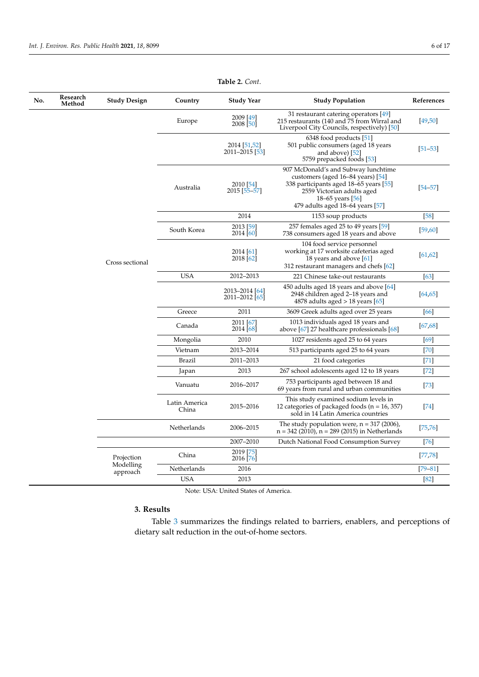| 31 restaurant catering operators [49]<br>2009 [49]<br>Europe<br>215 restaurants (140 and 75 from Wirral and<br>$2008$ [50]<br>Liverpool City Councils, respectively) [50]<br>6348 food products $[51]$<br>2014 [51,52]<br>501 public consumers (aged 18 years<br>2011-2015 [53]<br>and above) [52]<br>5759 prepacked foods [53]<br>907 McDonald's and Subway lunchtime<br>customers (aged $16-84$ years) $[54]$<br>338 participants aged 18–65 years [55]<br>2010 [54] | [49, 50]<br>$[51 - 53]$ |
|------------------------------------------------------------------------------------------------------------------------------------------------------------------------------------------------------------------------------------------------------------------------------------------------------------------------------------------------------------------------------------------------------------------------------------------------------------------------|-------------------------|
|                                                                                                                                                                                                                                                                                                                                                                                                                                                                        |                         |
|                                                                                                                                                                                                                                                                                                                                                                                                                                                                        |                         |
| Australia<br>2015 [55–57]<br>2559 Victorian adults aged<br>18–65 years $[56]$<br>479 adults aged $18-64$ years $[57]$                                                                                                                                                                                                                                                                                                                                                  | $[54 - 57]$             |
| 2014<br>1153 soup products                                                                                                                                                                                                                                                                                                                                                                                                                                             | [58]                    |
| 2013 [59]<br>257 females aged 25 to 49 years [59]<br>South Korea<br>2014 [60]<br>738 consumers aged 18 years and above                                                                                                                                                                                                                                                                                                                                                 | [59, 60]                |
| 104 food service personnel<br>working at 17 worksite cafeterias aged<br>2014 [61]<br>2018 [62]<br>18 years and above [61]<br>Cross sectional<br>312 restaurant managers and chefs [62]                                                                                                                                                                                                                                                                                 | [61, 62]                |
| <b>USA</b><br>2012-2013<br>221 Chinese take-out restaurants                                                                                                                                                                                                                                                                                                                                                                                                            | $[63]$                  |
| 450 adults aged 18 years and above [64]<br>2013-2014 [64]<br>2948 children aged 2–18 years and<br>2011-2012 [65]<br>4878 adults aged $>$ 18 years [65]                                                                                                                                                                                                                                                                                                                 | [64, 65]                |
| 2011<br>Greece<br>3609 Greek adults aged over 25 years                                                                                                                                                                                                                                                                                                                                                                                                                 | [66]                    |
| 2011 [67]<br>1013 individuals aged 18 years and<br>Canada<br>2014 [68]<br>above [67] 27 healthcare professionals [68]                                                                                                                                                                                                                                                                                                                                                  | [67, 68]                |
| Mongolia<br>2010<br>1027 residents aged 25 to 64 years                                                                                                                                                                                                                                                                                                                                                                                                                 | [69]                    |
| Vietnam<br>2013-2014<br>513 participants aged 25 to 64 years                                                                                                                                                                                                                                                                                                                                                                                                           | $[70]$                  |
| 2011-2013<br>Brazil<br>21 food categories                                                                                                                                                                                                                                                                                                                                                                                                                              | $[71]$                  |
| 2013<br>Japan<br>267 school adolescents aged 12 to 18 years                                                                                                                                                                                                                                                                                                                                                                                                            | $[72]$                  |
| 753 participants aged between 18 and<br>2016-2017<br>Vanuatu<br>69 years from rural and urban communities                                                                                                                                                                                                                                                                                                                                                              | $[73]$                  |
| This study examined sodium levels in<br>Latin America<br>2015-2016<br>12 categories of packaged foods ( $n = 16, 357$ )<br>China<br>sold in 14 Latin America countries                                                                                                                                                                                                                                                                                                 | $[74]$                  |
| The study population were, $n = 317 (2006)$ ,<br>Netherlands<br>2006-2015<br>$n = 342 (2010)$ , $n = 289 (2015)$ in Netherlands                                                                                                                                                                                                                                                                                                                                        | [75, 76]                |
| 2007-2010<br>Dutch National Food Consumption Survey                                                                                                                                                                                                                                                                                                                                                                                                                    | $[76]$                  |
| 2019 [75]<br>China<br>Projection<br>2016 [76]                                                                                                                                                                                                                                                                                                                                                                                                                          | [77, 78]                |
| Modelling<br>Netherlands<br>2016<br>approach                                                                                                                                                                                                                                                                                                                                                                                                                           | $[79 - 81]$             |
| <b>USA</b><br>2013                                                                                                                                                                                                                                                                                                                                                                                                                                                     | [82]                    |

**Table 2.** *Cont*.

Note: USA: United States of America.

# **3. Results**

 $\overline{a}$ 

Table [3](#page-6-0) summarizes the findings related to barriers, enablers, and perceptions of dietary salt reduction in the out-of-home sectors.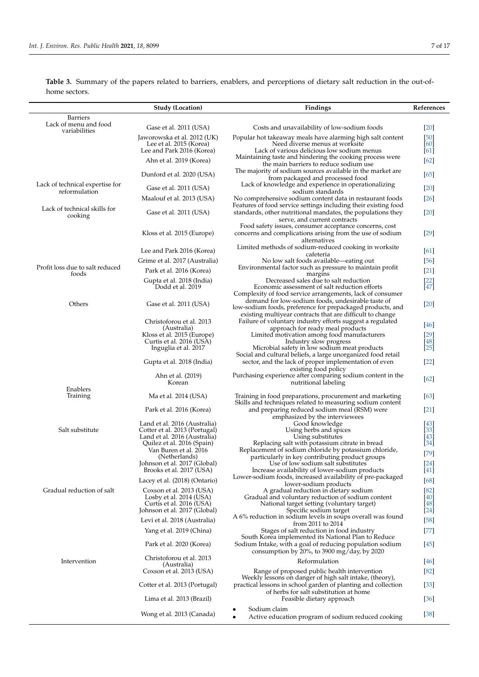<span id="page-6-0"></span>**Table 3.** Summary of the papers related to barriers, enablers, and perceptions of dietary salt reduction in the out-ofhome sectors.

|                                          | <b>Study (Location)</b>                                   | Findings                                                                                                                                                           | References                   |
|------------------------------------------|-----------------------------------------------------------|--------------------------------------------------------------------------------------------------------------------------------------------------------------------|------------------------------|
| Barriers<br>Lack of menu and food        |                                                           |                                                                                                                                                                    |                              |
| variabilities                            | Gase et al. 2011 (USA)<br>Jaworowska et al. 2012 (UK)     | Costs and unavailability of low-sodium foods<br>Popular hot takeaway meals have alarming high salt content                                                         | $[20]$<br>[50]               |
|                                          | Lee et al. 2015 (Korea)                                   | Need diverse menus at worksite                                                                                                                                     | [60]                         |
|                                          | Lee and Park 2016 (Korea)                                 | Lack of various delicious low sodium menus                                                                                                                         | [61]                         |
|                                          | Ahn et al. 2019 (Korea)                                   | Maintaining taste and hindering the cooking process were<br>the main barriers to reduce sodium use                                                                 | [62]                         |
|                                          | Dunford et al. 2020 (USA)                                 | The majority of sodium sources available in the market are<br>from packaged and processed food                                                                     | [65]                         |
| Lack of technical expertise for          | Gase et al. 2011 (USA)                                    | Lack of knowledge and experience in operationalizing                                                                                                               | $[20]$                       |
| reformulation                            | Maalouf et al. 2013 (USA)                                 | sodium standards<br>No comprehensive sodium content data in restaurant foods                                                                                       | $[26]$                       |
| Lack of technical skills for<br>cooking  | Gase et al. 2011 (USA)                                    | Features of food service settings including their existing food<br>standards, other nutritional mandates, the populations they                                     | [20]                         |
|                                          |                                                           | serve, and current contracts<br>Food safety issues, consumer acceptance concerns, cost                                                                             |                              |
|                                          | Kloss et al. 2015 (Europe)                                | concerns and complications arising from the use of sodium<br>alternatives                                                                                          | $[29]$                       |
|                                          | Lee and Park 2016 (Korea)                                 | Limited methods of sodium-reduced cooking in worksite<br>cafeteria                                                                                                 | [61]                         |
|                                          | Grime et al. 2017 (Australia)                             | No low salt foods available—eating out                                                                                                                             | [56]                         |
| Profit loss due to salt reduced<br>foods | Park et al. 2016 (Korea)                                  | Environmental factor such as pressure to maintain profit<br>margins                                                                                                | $[21]$                       |
|                                          | Gupta et al. 2018 (India)                                 | Decreased sales due to salt reduction                                                                                                                              | $\left[\frac{22}{47}\right]$ |
|                                          | Dodd et al. 2019                                          | Economic assessment of salt reduction efforts<br>Complexity of food service arrangements, lack of consumer                                                         |                              |
| Others                                   | Gase et al. 2011 (USA)                                    | demand for low-sodium foods, undesirable taste of<br>low-sodium foods, preference for prepackaged products, and                                                    | $[20]$                       |
|                                          | Christoforou et al. 2013                                  | existing multiyear contracts that are difficult to change<br>Failure of voluntary industry efforts suggest a regulated                                             |                              |
|                                          | (Australia)                                               | approach for ready meal products                                                                                                                                   | [46]                         |
|                                          | Kloss et al. 2015 (Europe)                                | Limited motivation among food manufacturers                                                                                                                        | $[29]$                       |
|                                          | Curtis et al. 2016 (USA)<br>Inguglia et al. 2017          | Industry slow progress<br>Microbial safety in low sodium meat products                                                                                             | [48]<br>$[25]$               |
|                                          | Gupta et al. 2018 (India)                                 | Social and cultural beliefs, a large unorganized food retail<br>sector, and the lack of proper implementation of even                                              | $[22]$                       |
|                                          | Ahn et al. (2019)                                         | existing food policy<br>Purchasing experience after comparing sodium content in the                                                                                |                              |
|                                          | Korean                                                    | nutritional labeling                                                                                                                                               | [62]                         |
| Enablers<br>Training                     | Ma et al. 2014 (USA)                                      | Training in food preparations, procurement and marketing<br>Skills and techniques related to measuring sodium content                                              | [63]                         |
|                                          | Park et al. 2016 (Korea)                                  | and preparing reduced sodium meal (RSM) were<br>emphasized by the interviewees                                                                                     | $[21]$                       |
|                                          | Land et al. 2016 (Australia)                              | Good knowledge                                                                                                                                                     | [43]                         |
| Salt substitute                          | Cotter et al. 2013 (Portugal)                             | Using herbs and spices                                                                                                                                             | $[33]$                       |
|                                          | Land et al. 2016 (Australia)                              | Using substitutes                                                                                                                                                  | [43]                         |
|                                          | Quilez et al. 2016 (Spain)<br>Van Buren et al. 2016       | Replacing salt with potassium citrate in bread<br>Replacement of sodium chloride by potassium chloride,                                                            | [34]                         |
|                                          | (Netherlands)                                             | particularly in key contributing product groups                                                                                                                    | $[79]$                       |
|                                          | Johnson et al. 2017 (Global)                              | Use of low sodium salt substitutes                                                                                                                                 | $[24]$                       |
|                                          | Brooks et al. 2017 (USA)<br>Lacey et al. (2018) (Ontario) | Increase availability of lower-sodium products<br>Lower-sodium foods, increased availability of pre-packaged                                                       | $[41]$<br>[68]               |
| Gradual reduction of salt                |                                                           | lower-sodium products                                                                                                                                              |                              |
|                                          | Coxson et al. 2013 (USA)<br>Losby et al. 2014 (USA)       | A gradual reduction in dietary sodium<br>Gradual and voluntary reduction of sodium content                                                                         | $[82]$<br>[40]               |
|                                          | Curtis et al. 2016 (USA)                                  | National target setting (voluntary target)                                                                                                                         | [48]                         |
|                                          | Johnson et al. 2017 (Global)                              | Specific sodium target                                                                                                                                             | $[24]$                       |
|                                          | Levi et al. 2018 (Australia)                              | A 6% reduction in sodium levels in soups overall was found<br>from 2011 to 2014                                                                                    | $[58]$                       |
|                                          | Yang et al. 2019 (China)                                  | Stages of salt reduction in food industry<br>South Korea implemented its National Plan to Reduce                                                                   | $[77]$                       |
|                                          | Park et al. 2020 (Korea)                                  | Sodium Intake, with a goal of reducing population sodium<br>consumption by $20\%$ , to 3900 mg/day, by 2020                                                        | $[45]$                       |
| Intervention                             | Christoforou et al. 2013<br>(Australia)                   | Reformulation                                                                                                                                                      | [46]                         |
|                                          | Coxson et al. 2013 (USA)                                  | Range of proposed public health intervention                                                                                                                       | $[82]$                       |
|                                          | Cotter et al. 2013 (Portugal)                             | Weekly lessons on danger of high salt intake, (theory),<br>practical lessons in school garden of planting and collection<br>of herbs for salt substitution at home | $[33]$                       |
|                                          | Lima et al. 2013 (Brazil)                                 | Feasible dietary approach                                                                                                                                          | $[36]$                       |
|                                          | Wong et al. 2013 (Canada)                                 | Sodium claim<br>Active education program of sodium reduced cooking<br>$\bullet$                                                                                    | $[38]$                       |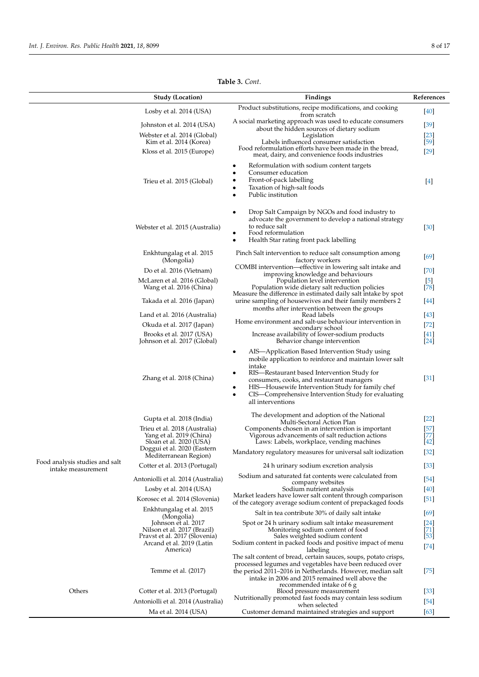|                                | <b>Study (Location)</b>                                                                                                                      | Findings                                                                                                                                                                                                                                                                                                                                                       | References                                         |
|--------------------------------|----------------------------------------------------------------------------------------------------------------------------------------------|----------------------------------------------------------------------------------------------------------------------------------------------------------------------------------------------------------------------------------------------------------------------------------------------------------------------------------------------------------------|----------------------------------------------------|
|                                | Losby et al. 2014 (USA)                                                                                                                      | Product substitutions, recipe modifications, and cooking                                                                                                                                                                                                                                                                                                       | [40]                                               |
|                                | Johnston et al. 2014 (USA)                                                                                                                   | from scratch<br>A social marketing approach was used to educate consumers                                                                                                                                                                                                                                                                                      | $[39]$                                             |
|                                | Webster et al. 2014 (Global)                                                                                                                 | about the hidden sources of dietary sodium<br>Legislation                                                                                                                                                                                                                                                                                                      | $[23]$                                             |
|                                | Kim et al. 2014 (Korea)                                                                                                                      | Labels influenced consumer satisfaction<br>Food reformulation efforts have been made in the bread,                                                                                                                                                                                                                                                             | $[59]$                                             |
|                                | Kloss et al. 2015 (Europe)                                                                                                                   | meat, dairy, and convenience foods industries                                                                                                                                                                                                                                                                                                                  | $[29]$                                             |
|                                | Trieu et al. 2015 (Global)                                                                                                                   | Reformulation with sodium content targets<br>٠<br>Consumer education<br>Front-of-pack labelling<br>٠<br>Taxation of high-salt foods<br>Public institution                                                                                                                                                                                                      | $[4]$                                              |
|                                | Webster et al. 2015 (Australia)                                                                                                              | Drop Salt Campaign by NGOs and food industry to<br>advocate the government to develop a national strategy<br>to reduce salt<br>Food reformulation<br>Health Star rating front pack labelling                                                                                                                                                                   | $[30]$                                             |
|                                | Enkhtungalag et al. 2015<br>(Mongolia)                                                                                                       | Pinch Salt intervention to reduce salt consumption among<br>factory workers                                                                                                                                                                                                                                                                                    | [69]                                               |
|                                | Do et al. 2016 (Vietnam)                                                                                                                     | COMBI intervention—effective in lowering salt intake and                                                                                                                                                                                                                                                                                                       | $[70]$                                             |
|                                | McLaren et al. 2016 (Global)                                                                                                                 | improving knowledge and behaviours<br>Population level intervention                                                                                                                                                                                                                                                                                            | $\begin{bmatrix} 5 \\ 78 \end{bmatrix}$            |
|                                | Wang et al. 2016 (China)                                                                                                                     | Population wide dietary salt reduction policies<br>Measure the difference in estimated daily salt intake by spot                                                                                                                                                                                                                                               |                                                    |
|                                | Takada et al. 2016 (Japan)                                                                                                                   | urine sampling of housewives and their family members 2<br>months after intervention between the groups                                                                                                                                                                                                                                                        | [44]                                               |
|                                | Land et al. 2016 (Australia)                                                                                                                 | Read labels                                                                                                                                                                                                                                                                                                                                                    | $[43]$                                             |
|                                | Okuda et al. 2017 (Japan)                                                                                                                    | Home environment and salt-use behaviour intervention in<br>secondary school                                                                                                                                                                                                                                                                                    | $[72]$                                             |
|                                | Brooks et al. 2017 (USA)<br>Johnson et al. 2017 (Global)                                                                                     | Increase availability of lower-sodium products<br>Behavior change intervention                                                                                                                                                                                                                                                                                 | [41]<br>$[24]$                                     |
|                                | Zhang et al. 2018 (China)                                                                                                                    | AIS—Application Based Intervention Study using<br>٠<br>mobile application to reinforce and maintain lower salt<br>intake<br>RIS—Restaurant based Intervention Study for<br>consumers, cooks, and restaurant managers<br>HIS—Housewife Intervention Study for family chef<br>٠<br>CIS—Comprehensive Intervention Study for evaluating<br>٠<br>all interventions | $[31]$                                             |
|                                | Gupta et al. 2018 (India)                                                                                                                    | The development and adoption of the National                                                                                                                                                                                                                                                                                                                   | $[22]$                                             |
|                                | Trieu et al. 2018 (Australia)<br>Yang et al. 2019 (China)<br>Sloan et al. 2020 (USA)<br>Doggui et al. 2020 (Eastern<br>Mediterranean Region) | Multi-Sectoral Action Plan<br>Components chosen in an intervention is important                                                                                                                                                                                                                                                                                | 57                                                 |
|                                |                                                                                                                                              | Vigorous advancements of salt reduction actions<br>Laws: Labels, workplace, vending machines                                                                                                                                                                                                                                                                   | 77<br>$[42]$                                       |
|                                |                                                                                                                                              | Mandatory regulatory measures for universal salt iodization                                                                                                                                                                                                                                                                                                    | $[32]$                                             |
| Food analysis studies and salt | Cotter et al. 2013 (Portugal)                                                                                                                | 24 h urinary sodium excretion analysis                                                                                                                                                                                                                                                                                                                         | $\left[33\right]$                                  |
| intake measurement             | Antoniolli et al. 2014 (Australia)                                                                                                           | Sodium and saturated fat contents were calculated from                                                                                                                                                                                                                                                                                                         | $[54]$                                             |
|                                | Losby et al. 2014 (USA)                                                                                                                      | company websites<br>Sodium nutrient analysis                                                                                                                                                                                                                                                                                                                   | $[40]$                                             |
|                                | Korosec et al. 2014 (Slovenia)                                                                                                               | Market leaders have lower salt content through comparison                                                                                                                                                                                                                                                                                                      | $[51]$                                             |
|                                | Enkhtungalag et al. 2015                                                                                                                     | of the category average sodium content of prepackaged foods<br>Salt in tea contribute 30% of daily salt intake                                                                                                                                                                                                                                                 | [69]                                               |
|                                | (Mongolia)<br>Johnson et al. 2017                                                                                                            | Spot or 24 h urinary sodium salt intake measurement                                                                                                                                                                                                                                                                                                            |                                                    |
|                                | Nilson et al. 2017 (Brazil)<br>Pravst et al. 2017 (Slovenia)                                                                                 | Monitoring sodium content of food<br>Sales weighted sodium content                                                                                                                                                                                                                                                                                             | $\begin{bmatrix} 24 \\ 71 \end{bmatrix}$<br>$[53]$ |
|                                | Arcand et al. 2019 (Latin                                                                                                                    | Sodium content in packed foods and positive impact of menu                                                                                                                                                                                                                                                                                                     | $[74]$                                             |
|                                | America)<br>Temme et al. (2017)                                                                                                              | labeling<br>The salt content of bread, certain sauces, soups, potato crisps,<br>processed legumes and vegetables have been reduced over<br>the period 2011–2016 in Netherlands. However, median salt<br>intake in 2006 and 2015 remained well above the<br>recommended intake of 6 g                                                                           | $[75]$                                             |
| Others                         | Cotter et al. 2013 (Portugal)                                                                                                                | Blood pressure measurement<br>Nutritionally promoted fast foods may contain less sodium                                                                                                                                                                                                                                                                        | $[33]$                                             |
|                                | Antoniolli et al. 2014 (Australia)                                                                                                           | when selected                                                                                                                                                                                                                                                                                                                                                  | $[54]$                                             |
|                                | Ma et al. 2014 (USA)                                                                                                                         | Customer demand maintained strategies and support                                                                                                                                                                                                                                                                                                              | $[63]$                                             |

**Table 3.** *Cont*.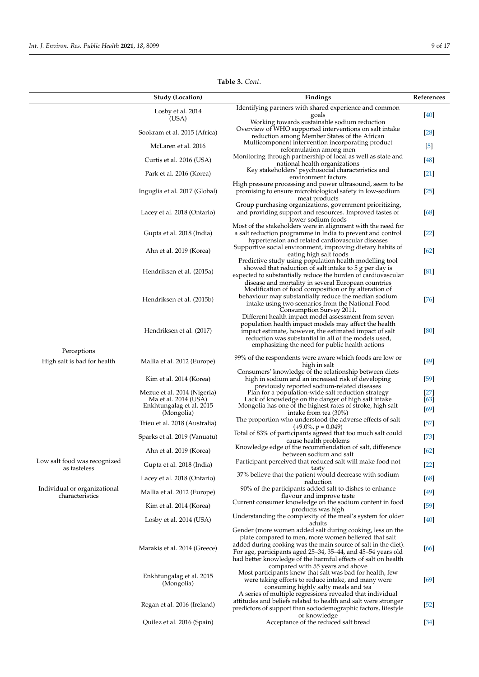|                                                 | <b>Study (Location)</b>                             | Findings                                                                                                                                                                                                                                                                                                                                                 | References     |
|-------------------------------------------------|-----------------------------------------------------|----------------------------------------------------------------------------------------------------------------------------------------------------------------------------------------------------------------------------------------------------------------------------------------------------------------------------------------------------------|----------------|
|                                                 | Losby et al. 2014                                   | Identifying partners with shared experience and common<br>goals                                                                                                                                                                                                                                                                                          | [40]           |
|                                                 | (USA)<br>Sookram et al. 2015 (Africa)               | Working towards sustainable sodium reduction<br>Overview of WHO supported interventions on salt intake                                                                                                                                                                                                                                                   | $[28]$         |
|                                                 |                                                     | reduction among Member States of the African<br>Multicomponent intervention incorporating product                                                                                                                                                                                                                                                        |                |
|                                                 | McLaren et al. 2016                                 | reformulation among men                                                                                                                                                                                                                                                                                                                                  | $[5]$          |
|                                                 | Curtis et al. 2016 (USA)                            | Monitoring through partnership of local as well as state and<br>national health organizations                                                                                                                                                                                                                                                            | $[48]$         |
|                                                 | Park et al. 2016 (Korea)                            | Key stakeholders' psychosocial characteristics and<br>environment factors                                                                                                                                                                                                                                                                                | $[21]$         |
|                                                 | Inguglia et al. 2017 (Global)                       | High pressure processing and power ultrasound, seem to be<br>promising to ensure microbiological safety in low-sodium<br>meat products                                                                                                                                                                                                                   | $[25]$         |
|                                                 | Lacey et al. 2018 (Ontario)                         | Group purchasing organizations, government prioritizing,<br>and providing support and resources. Improved tastes of<br>lower-sodium foods                                                                                                                                                                                                                | [68]           |
|                                                 | Gupta et al. 2018 (India)                           | Most of the stakeholders were in alignment with the need for<br>a salt reduction programme in India to prevent and control<br>hypertension and related cardiovascular diseases                                                                                                                                                                           | $[22]$         |
|                                                 | Ahn et al. 2019 (Korea)                             | Supportive social environment, improving dietary habits of<br>eating high salt foods                                                                                                                                                                                                                                                                     | $[62]$         |
|                                                 | Hendriksen et al. (2015a)                           | Predictive study using population health modelling tool<br>showed that reduction of salt intake to 5 g per day is<br>expected to substantially reduce the burden of cardiovascular<br>disease and mortality in several European countries                                                                                                                | [81]           |
|                                                 | Hendriksen et al. (2015b)                           | Modification of food composition or by alteration of<br>behaviour may substantially reduce the median sodium<br>intake using two scenarios from the National Food<br>Consumption Survey 2011.                                                                                                                                                            | [76]           |
|                                                 | Hendriksen et al. (2017)                            | Different health impact model assessment from seven<br>population health impact models may affect the health<br>impact estimate, however, the estimated impact of salt<br>reduction was substantial in all of the models used,<br>emphasizing the need for public health actions                                                                         | [80]           |
| Perceptions                                     |                                                     | 99% of the respondents were aware which foods are low or                                                                                                                                                                                                                                                                                                 |                |
| High salt is bad for health                     | Mallia et al. 2012 (Europe)                         | high in salt<br>Consumers' knowledge of the relationship between diets                                                                                                                                                                                                                                                                                   | [49]           |
|                                                 | Kim et al. 2014 (Korea)                             | high in sodium and an increased risk of developing<br>previously reported sodium-related diseases                                                                                                                                                                                                                                                        | $[59]$         |
|                                                 | Mezue et al. 2014 (Nigeria)<br>Ma et al. 2014 (USA) | Plan for a population-wide salt reduction strategy<br>Lack of knowledge on the danger of high salt intake                                                                                                                                                                                                                                                | $[27]$<br>[63] |
|                                                 | Enkhtungalag et al. 2015<br>(Mongolia)              | Mongolia has one of the highest rates of stroke, high salt<br>intake from tea (30%)                                                                                                                                                                                                                                                                      | $[69]$         |
|                                                 | Trieu et al. 2018 (Australia)                       | The proportion who understood the adverse effects of salt<br>$(+9.0\% , p = 0.049)$                                                                                                                                                                                                                                                                      | $[57]$         |
|                                                 | Sparks et al. 2019 (Vanuatu)                        | Total of 83% of participants agreed that too much salt could<br>cause health problems                                                                                                                                                                                                                                                                    | $[73]$         |
|                                                 | Ahn et al. 2019 (Korea)                             | Knowledge edge of the recommendation of salt, difference<br>between sodium and salt                                                                                                                                                                                                                                                                      | $[62]$         |
| Low salt food was recognized<br>as tasteless    | Gupta et al. 2018 (India)                           | Participant perceived that reduced salt will make food not<br>tasty                                                                                                                                                                                                                                                                                      | $[22]$         |
|                                                 | Lacey et al. 2018 (Ontario)                         | 37% believe that the patient would decrease with sodium<br>reduction                                                                                                                                                                                                                                                                                     | [68]           |
| Individual or organizational<br>characteristics | Mallia et al. 2012 (Europe)                         | 90% of the participants added salt to dishes to enhance<br>flavour and improve taste                                                                                                                                                                                                                                                                     | [49]           |
|                                                 | Kim et al. 2014 (Korea)                             | Current consumer knowledge on the sodium content in food<br>products was high                                                                                                                                                                                                                                                                            | $[59]$         |
|                                                 | Losby et al. 2014 (USA)                             | Understanding the complexity of the meal's system for older<br>adults                                                                                                                                                                                                                                                                                    | [40]           |
|                                                 | Marakis et al. 2014 (Greece)                        | Gender (more women added salt during cooking, less on the<br>plate compared to men, more women believed that salt<br>added during cooking was the main source of salt in the diet).<br>For age, participants aged 25–34, 35–44, and 45–54 years old<br>had better knowledge of the harmful effects of salt on health<br>compared with 55 years and above | [66]           |
|                                                 | Enkhtungalag et al. 2015<br>(Mongolia)              | Most participants knew that salt was bad for health, few<br>were taking efforts to reduce intake, and many were<br>consuming highly salty meals and tea<br>A series of multiple regressions revealed that individual                                                                                                                                     | [69]           |
|                                                 | Regan et al. 2016 (Ireland)                         | attitudes and beliefs related to health and salt were stronger<br>predictors of support than sociodemographic factors, lifestyle                                                                                                                                                                                                                         | $[52]$         |
|                                                 | Quilez et al. 2016 (Spain)                          | or knowledge<br>Acceptance of the reduced salt bread                                                                                                                                                                                                                                                                                                     | $[34]$         |

**Table 3.** *Cont*.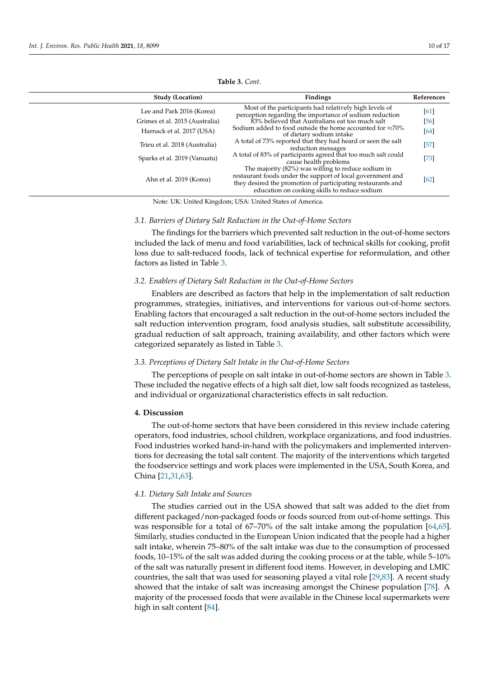| <b>Study (Location)</b>        | Findings                                                                                                                                                                                                                          | References |
|--------------------------------|-----------------------------------------------------------------------------------------------------------------------------------------------------------------------------------------------------------------------------------|------------|
| Lee and Park 2016 (Korea)      | Most of the participants had relatively high levels of<br>perception regarding the importance of sodium reduction                                                                                                                 | [61]       |
| Grimes et al. 2015 (Australia) | 83% believed that Australians eat too much salt                                                                                                                                                                                   | [56]       |
| Harnack et al. 2017 (USA)      | Sodium added to food outside the home accounted for $\approx 70\%$<br>of dietary sodium intake                                                                                                                                    | $[64]$     |
| Trieu et al. 2018 (Australia)  | A total of 73% reported that they had heard or seen the salt<br>reduction messages                                                                                                                                                | $[57]$     |
| Sparks et al. 2019 (Vanuatu)   | A total of 83% of participants agreed that too much salt could<br>cause health problems                                                                                                                                           | $[73]$     |
| Ahn et al. 2019 (Korea)        | The majority $(82%)$ was willing to reduce sodium in<br>restaurant foods under the support of local government and<br>they desired the promotion of participating restaurants and<br>education on cooking skills to reduce sodium | [62]       |

**Table 3.** *Cont*.

Note: UK: United Kingdom; USA: United States of America.

#### *3.1. Barriers of Dietary Salt Reduction in the Out-of-Home Sectors*

The findings for the barriers which prevented salt reduction in the out-of-home sectors included the lack of menu and food variabilities, lack of technical skills for cooking, profit loss due to salt-reduced foods, lack of technical expertise for reformulation, and other factors as listed in Table [3.](#page-6-0)

#### *3.2. Enablers of Dietary Salt Reduction in the Out-of-Home Sectors*

Enablers are described as factors that help in the implementation of salt reduction programmes, strategies, initiatives, and interventions for various out-of-home sectors. Enabling factors that encouraged a salt reduction in the out-of-home sectors included the salt reduction intervention program, food analysis studies, salt substitute accessibility, gradual reduction of salt approach, training availability, and other factors which were categorized separately as listed in Table [3.](#page-6-0)

## *3.3. Perceptions of Dietary Salt Intake in the Out-of-Home Sectors*

The perceptions of people on salt intake in out-of-home sectors are shown in Table [3.](#page-6-0) These included the negative effects of a high salt diet, low salt foods recognized as tasteless, and individual or organizational characteristics effects in salt reduction.

#### **4. Discussion**

The out-of-home sectors that have been considered in this review include catering operators, food industries, school children, workplace organizations, and food industries. Food industries worked hand-in-hand with the policymakers and implemented interventions for decreasing the total salt content. The majority of the interventions which targeted the foodservice settings and work places were implemented in the USA, South Korea, and China [\[21,](#page-13-14)[31,](#page-13-23)[63\]](#page-15-3).

# *4.1. Dietary Salt Intake and Sources*

The studies carried out in the USA showed that salt was added to the diet from different packaged/non-packaged foods or foods sourced from out-of-home settings. This was responsible for a total of 67–70% of the salt intake among the population [\[64,](#page-15-4)[65\]](#page-15-5). Similarly, studies conducted in the European Union indicated that the people had a higher salt intake, wherein 75–80% of the salt intake was due to the consumption of processed foods, 10–15% of the salt was added during the cooking process or at the table, while 5–10% of the salt was naturally present in different food items. However, in developing and LMIC countries, the salt that was used for seasoning played a vital role [\[29](#page-13-21)[,83\]](#page-15-23). A recent study showed that the intake of salt was increasing amongst the Chinese population [\[78\]](#page-15-18). A majority of the processed foods that were available in the Chinese local supermarkets were high in salt content [\[84\]](#page-15-24).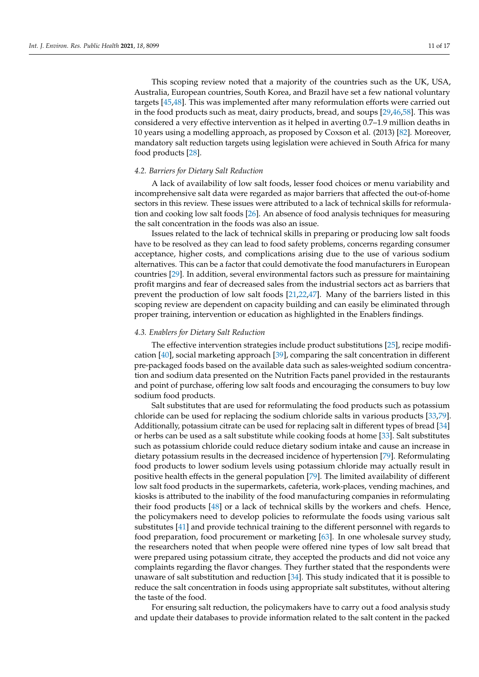This scoping review noted that a majority of the countries such as the UK, USA, Australia, European countries, South Korea, and Brazil have set a few national voluntary targets [\[45](#page-14-11)[,48\]](#page-14-14). This was implemented after many reformulation efforts were carried out in the food products such as meat, dairy products, bread, and soups [\[29](#page-13-21)[,46,](#page-14-12)[58\]](#page-14-24). This was considered a very effective intervention as it helped in averting 0.7–1.9 million deaths in 10 years using a modelling approach, as proposed by Coxson et al. (2013) [\[82\]](#page-15-21). Moreover, mandatory salt reduction targets using legislation were achieved in South Africa for many food products [\[28\]](#page-13-20).

# *4.2. Barriers for Dietary Salt Reduction*

A lack of availability of low salt foods, lesser food choices or menu variability and incomprehensive salt data were regarded as major barriers that affected the out-of-home sectors in this review. These issues were attributed to a lack of technical skills for reformulation and cooking low salt foods [\[26\]](#page-13-18). An absence of food analysis techniques for measuring the salt concentration in the foods was also an issue.

Issues related to the lack of technical skills in preparing or producing low salt foods have to be resolved as they can lead to food safety problems, concerns regarding consumer acceptance, higher costs, and complications arising due to the use of various sodium alternatives. This can be a factor that could demotivate the food manufacturers in European countries [\[29\]](#page-13-21). In addition, several environmental factors such as pressure for maintaining profit margins and fear of decreased sales from the industrial sectors act as barriers that prevent the production of low salt foods [\[21](#page-13-14)[,22](#page-13-15)[,47\]](#page-14-13). Many of the barriers listed in this scoping review are dependent on capacity building and can easily be eliminated through proper training, intervention or education as highlighted in the Enablers findings.

#### *4.3. Enablers for Dietary Salt Reduction*

The effective intervention strategies include product substitutions [\[25\]](#page-13-17), recipe modification [\[40\]](#page-14-6), social marketing approach [\[39\]](#page-14-5), comparing the salt concentration in different pre-packaged foods based on the available data such as sales-weighted sodium concentration and sodium data presented on the Nutrition Facts panel provided in the restaurants and point of purchase, offering low salt foods and encouraging the consumers to buy low sodium food products.

Salt substitutes that are used for reformulating the food products such as potassium chloride can be used for replacing the sodium chloride salts in various products [\[33,](#page-13-25)[79\]](#page-15-19). Additionally, potassium citrate can be used for replacing salt in different types of bread [\[34\]](#page-14-0) or herbs can be used as a salt substitute while cooking foods at home [\[33\]](#page-13-25). Salt substitutes such as potassium chloride could reduce dietary sodium intake and cause an increase in dietary potassium results in the decreased incidence of hypertension [\[79\]](#page-15-19). Reformulating food products to lower sodium levels using potassium chloride may actually result in positive health effects in the general population [\[79\]](#page-15-19). The limited availability of different low salt food products in the supermarkets, cafeteria, work-places, vending machines, and kiosks is attributed to the inability of the food manufacturing companies in reformulating their food products [\[48\]](#page-14-14) or a lack of technical skills by the workers and chefs. Hence, the policymakers need to develop policies to reformulate the foods using various salt substitutes [\[41\]](#page-14-7) and provide technical training to the different personnel with regards to food preparation, food procurement or marketing [\[63\]](#page-15-3). In one wholesale survey study, the researchers noted that when people were offered nine types of low salt bread that were prepared using potassium citrate, they accepted the products and did not voice any complaints regarding the flavor changes. They further stated that the respondents were unaware of salt substitution and reduction [\[34\]](#page-14-0). This study indicated that it is possible to reduce the salt concentration in foods using appropriate salt substitutes, without altering the taste of the food.

For ensuring salt reduction, the policymakers have to carry out a food analysis study and update their databases to provide information related to the salt content in the packed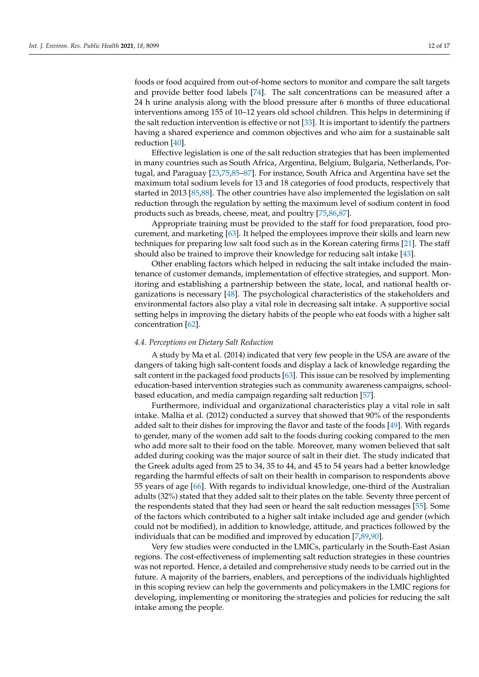foods or food acquired from out-of-home sectors to monitor and compare the salt targets and provide better food labels [\[74\]](#page-15-14). The salt concentrations can be measured after a 24 h urine analysis along with the blood pressure after 6 months of three educational interventions among 155 of 10–12 years old school children. This helps in determining if the salt reduction intervention is effective or not [\[33\]](#page-13-25). It is important to identify the partners having a shared experience and common objectives and who aim for a sustainable salt reduction [\[40\]](#page-14-6).

Effective legislation is one of the salt reduction strategies that has been implemented in many countries such as South Africa, Argentina, Belgium, Bulgaria, Netherlands, Portugal, and Paraguay [\[23](#page-13-16)[,75](#page-15-15)[,85–](#page-15-25)[87\]](#page-16-0). For instance, South Africa and Argentina have set the maximum total sodium levels for 13 and 18 categories of food products, respectively that started in 2013 [\[85](#page-15-25)[,88\]](#page-16-1). The other countries have also implemented the legislation on salt reduction through the regulation by setting the maximum level of sodium content in food products such as breads, cheese, meat, and poultry [\[75](#page-15-15)[,86,](#page-15-26)[87\]](#page-16-0).

Appropriate training must be provided to the staff for food preparation, food procurement, and marketing [\[63\]](#page-15-3). It helped the employees improve their skills and learn new techniques for preparing low salt food such as in the Korean catering firms [\[21\]](#page-13-14). The staff should also be trained to improve their knowledge for reducing salt intake [\[43\]](#page-14-9).

Other enabling factors which helped in reducing the salt intake included the maintenance of customer demands, implementation of effective strategies, and support. Monitoring and establishing a partnership between the state, local, and national health organizations is necessary [\[48\]](#page-14-14). The psychological characteristics of the stakeholders and environmental factors also play a vital role in decreasing salt intake. A supportive social setting helps in improving the dietary habits of the people who eat foods with a higher salt concentration [\[62\]](#page-15-2).

#### *4.4. Perceptions on Dietary Salt Reduction*

A study by Ma et al. (2014) indicated that very few people in the USA are aware of the dangers of taking high salt-content foods and display a lack of knowledge regarding the salt content in the packaged food products [\[63\]](#page-15-3). This issue can be resolved by implementing education-based intervention strategies such as community awareness campaigns, schoolbased education, and media campaign regarding salt reduction [\[57\]](#page-14-22).

Furthermore, individual and organizational characteristics play a vital role in salt intake. Mallia et al. (2012) conducted a survey that showed that 90% of the respondents added salt to their dishes for improving the flavor and taste of the foods [\[49\]](#page-14-15). With regards to gender, many of the women add salt to the foods during cooking compared to the men who add more salt to their food on the table. Moreover, many women believed that salt added during cooking was the major source of salt in their diet. The study indicated that the Greek adults aged from 25 to 34, 35 to 44, and 45 to 54 years had a better knowledge regarding the harmful effects of salt on their health in comparison to respondents above 55 years of age [\[66\]](#page-15-6). With regards to individual knowledge, one-third of the Australian adults (32%) stated that they added salt to their plates on the table. Seventy three percent of the respondents stated that they had seen or heard the salt reduction messages [\[55\]](#page-14-21). Some of the factors which contributed to a higher salt intake included age and gender (which could not be modified), in addition to knowledge, attitude, and practices followed by the individuals that can be modified and improved by education [\[7,](#page-13-0)[89,](#page-16-2)[90\]](#page-16-3).

Very few studies were conducted in the LMICs, particularly in the South-East Asian regions. The cost-effectiveness of implementing salt reduction strategies in these countries was not reported. Hence, a detailed and comprehensive study needs to be carried out in the future. A majority of the barriers, enablers, and perceptions of the individuals highlighted in this scoping review can help the governments and policymakers in the LMIC regions for developing, implementing or monitoring the strategies and policies for reducing the salt intake among the people.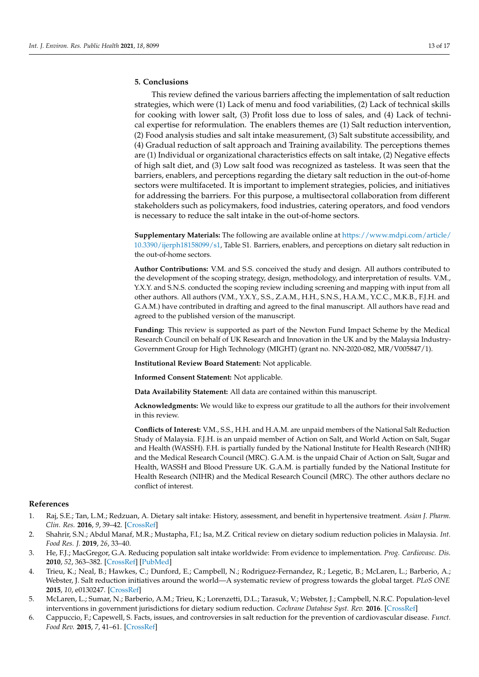# **5. Conclusions**

This review defined the various barriers affecting the implementation of salt reduction strategies, which were (1) Lack of menu and food variabilities, (2) Lack of technical skills for cooking with lower salt, (3) Profit loss due to loss of sales, and (4) Lack of technical expertise for reformulation. The enablers themes are (1) Salt reduction intervention, (2) Food analysis studies and salt intake measurement, (3) Salt substitute accessibility, and (4) Gradual reduction of salt approach and Training availability. The perceptions themes are (1) Individual or organizational characteristics effects on salt intake, (2) Negative effects of high salt diet, and (3) Low salt food was recognized as tasteless. It was seen that the barriers, enablers, and perceptions regarding the dietary salt reduction in the out-of-home sectors were multifaceted. It is important to implement strategies, policies, and initiatives for addressing the barriers. For this purpose, a multisectoral collaboration from different stakeholders such as policymakers, food industries, catering operators, and food vendors is necessary to reduce the salt intake in the out-of-home sectors.

**Supplementary Materials:** The following are available online at [https://www.mdpi.com/article/](https://www.mdpi.com/article/10.3390/ijerph18158099/s1) [10.3390/ijerph18158099/s1,](https://www.mdpi.com/article/10.3390/ijerph18158099/s1) Table S1. Barriers, enablers, and perceptions on dietary salt reduction in the out-of-home sectors.

**Author Contributions:** V.M. and S.S. conceived the study and design. All authors contributed to the development of the scoping strategy, design, methodology, and interpretation of results. V.M., Y.X.Y. and S.N.S. conducted the scoping review including screening and mapping with input from all other authors. All authors (V.M., Y.X.Y., S.S., Z.A.M., H.H., S.N.S., H.A.M., Y.C.C., M.K.B., F.J.H. and G.A.M.) have contributed in drafting and agreed to the final manuscript. All authors have read and agreed to the published version of the manuscript.

**Funding:** This review is supported as part of the Newton Fund Impact Scheme by the Medical Research Council on behalf of UK Research and Innovation in the UK and by the Malaysia Industry-Government Group for High Technology (MIGHT) (grant no. NN-2020-082, MR/V005847/1).

**Institutional Review Board Statement:** Not applicable.

**Informed Consent Statement:** Not applicable.

**Data Availability Statement:** All data are contained within this manuscript.

**Acknowledgments:** We would like to express our gratitude to all the authors for their involvement in this review.

**Conflicts of Interest:** V.M., S.S., H.H. and H.A.M. are unpaid members of the National Salt Reduction Study of Malaysia. F.J.H. is an unpaid member of Action on Salt, and World Action on Salt, Sugar and Health (WASSH). F.H. is partially funded by the National Institute for Health Research (NIHR) and the Medical Research Council (MRC). G.A.M. is the unpaid Chair of Action on Salt, Sugar and Health, WASSH and Blood Pressure UK. G.A.M. is partially funded by the National Institute for Health Research (NIHR) and the Medical Research Council (MRC). The other authors declare no conflict of interest.

#### **References**

- <span id="page-12-0"></span>1. Raj, S.E.; Tan, L.M.; Redzuan, A. Dietary salt intake: History, assessment, and benefit in hypertensive treatment. *Asian J. Pharm. Clin. Res.* **2016**, *9*, 39–42. [\[CrossRef\]](http://doi.org/10.22159/ajpcr.2016.v9s2.13483)
- <span id="page-12-1"></span>2. Shahrir, S.N.; Abdul Manaf, M.R.; Mustapha, F.I.; Isa, M.Z. Critical review on dietary sodium reduction policies in Malaysia. *Int. Food Res. J.* **2019**, *26*, 33–40.
- <span id="page-12-2"></span>3. He, F.J.; MacGregor, G.A. Reducing population salt intake worldwide: From evidence to implementation. *Prog. Cardiovasc. Dis.* **2010**, *52*, 363–382. [\[CrossRef\]](http://doi.org/10.1016/j.pcad.2009.12.006) [\[PubMed\]](http://www.ncbi.nlm.nih.gov/pubmed/20226955)
- <span id="page-12-3"></span>4. Trieu, K.; Neal, B.; Hawkes, C.; Dunford, E.; Campbell, N.; Rodriguez-Fernandez, R.; Legetic, B.; McLaren, L.; Barberio, A.; Webster, J. Salt reduction initiatives around the world—A systematic review of progress towards the global target. *PLoS ONE* **2015**, *10*, e0130247. [\[CrossRef\]](http://doi.org/10.1371/journal.pone.0130247)
- <span id="page-12-4"></span>5. McLaren, L.; Sumar, N.; Barberio, A.M.; Trieu, K.; Lorenzetti, D.L.; Tarasuk, V.; Webster, J.; Campbell, N.R.C. Population-level interventions in government jurisdictions for dietary sodium reduction. *Cochrane Database Syst. Rev.* **2016**. [\[CrossRef\]](http://doi.org/10.1002/14651858.CD010166.pub2)
- <span id="page-12-5"></span>6. Cappuccio, F.; Capewell, S. Facts, issues, and controversies in salt reduction for the prevention of cardiovascular disease. *Funct. Food Rev.* **2015**, *7*, 41–61. [\[CrossRef\]](http://doi.org/10.2310/6180.2015.00005)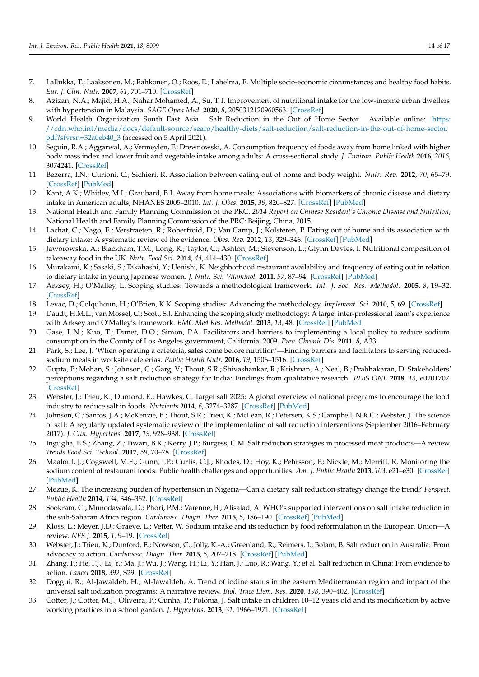- <span id="page-13-0"></span>7. Lallukka, T.; Laaksonen, M.; Rahkonen, O.; Roos, E.; Lahelma, E. Multiple socio-economic circumstances and healthy food habits. *Eur. J. Clin. Nutr.* **2007**, *61*, 701–710. [\[CrossRef\]](http://doi.org/10.1038/sj.ejcn.1602583)
- <span id="page-13-1"></span>8. Azizan, N.A.; Majid, H.A.; Nahar Mohamed, A.; Su, T.T. Improvement of nutritional intake for the low-income urban dwellers with hypertension in Malaysia. *SAGE Open Med.* **2020**, *8*, 2050312120960563. [\[CrossRef\]](http://doi.org/10.1177/2050312120960563)
- <span id="page-13-2"></span>9. World Health Organization South East Asia. Salt Reduction in the Out of Home Sector. Available online: [https:](https://cdn.who.int/media/docs/default-source/searo/healthy-diets/salt-reduction/salt-reduction-in-the-out-of-home-sector.pdf?sfvrsn=32a0eb40_3) [//cdn.who.int/media/docs/default-source/searo/healthy-diets/salt-reduction/salt-reduction-in-the-out-of-home-sector.](https://cdn.who.int/media/docs/default-source/searo/healthy-diets/salt-reduction/salt-reduction-in-the-out-of-home-sector.pdf?sfvrsn=32a0eb40_3) [pdf?sfvrsn=32a0eb40\\_3](https://cdn.who.int/media/docs/default-source/searo/healthy-diets/salt-reduction/salt-reduction-in-the-out-of-home-sector.pdf?sfvrsn=32a0eb40_3) (accessed on 5 April 2021).
- <span id="page-13-3"></span>10. Seguin, R.A.; Aggarwal, A.; Vermeylen, F.; Drewnowski, A. Consumption frequency of foods away from home linked with higher body mass index and lower fruit and vegetable intake among adults: A cross-sectional study. *J. Environ. Public Health* **2016**, *2016*, 3074241. [\[CrossRef\]](http://doi.org/10.1155/2016/3074241)
- <span id="page-13-4"></span>11. Bezerra, I.N.; Curioni, C.; Sichieri, R. Association between eating out of home and body weight. *Nutr. Rev.* **2012**, *70*, 65–79. [\[CrossRef\]](http://doi.org/10.1111/j.1753-4887.2011.00459.x) [\[PubMed\]](http://www.ncbi.nlm.nih.gov/pubmed/22300594)
- <span id="page-13-5"></span>12. Kant, A.K.; Whitley, M.I.; Graubard, B.I. Away from home meals: Associations with biomarkers of chronic disease and dietary intake in American adults, NHANES 2005–2010. *Int. J. Obes.* **2015**, *39*, 820–827. [\[CrossRef\]](http://doi.org/10.1038/ijo.2014.183) [\[PubMed\]](http://www.ncbi.nlm.nih.gov/pubmed/25319744)
- <span id="page-13-6"></span>13. National Health and Family Planning Commission of the PRC. *2014 Report on Chinese Resident's Chronic Disease and Nutrition*; National Health and Family Planning Commission of the PRC: Beijing, China, 2015.
- <span id="page-13-7"></span>14. Lachat, C.; Nago, E.; Verstraeten, R.; Roberfroid, D.; Van Camp, J.; Kolsteren, P. Eating out of home and its association with dietary intake: A systematic review of the evidence. *Obes. Rev.* **2012**, *13*, 329–346. [\[CrossRef\]](http://doi.org/10.1111/j.1467-789X.2011.00953.x) [\[PubMed\]](http://www.ncbi.nlm.nih.gov/pubmed/22106948)
- <span id="page-13-8"></span>15. Jaworowska, A.; Blackham, T.M.; Long, R.; Taylor, C.; Ashton, M.; Stevenson, L.; Glynn Davies, I. Nutritional composition of takeaway food in the UK. *Nutr. Food Sci.* **2014**, *44*, 414–430. [\[CrossRef\]](http://doi.org/10.1108/NFS-08-2013-0093)
- <span id="page-13-9"></span>16. Murakami, K.; Sasaki, S.; Takahashi, Y.; Uenishi, K. Neighborhood restaurant availability and frequency of eating out in relation to dietary intake in young Japanese women. *J. Nutr. Sci. Vitaminol.* **2011**, *57*, 87–94. [\[CrossRef\]](http://doi.org/10.3177/jnsv.57.87) [\[PubMed\]](http://www.ncbi.nlm.nih.gov/pubmed/21512296)
- <span id="page-13-10"></span>17. Arksey, H.; O'Malley, L. Scoping studies: Towards a methodological framework. *Int. J. Soc. Res. Methodol.* **2005**, *8*, 19–32. [\[CrossRef\]](http://doi.org/10.1080/1364557032000119616)
- <span id="page-13-11"></span>18. Levac, D.; Colquhoun, H.; O'Brien, K.K. Scoping studies: Advancing the methodology. *Implement. Sci.* **2010**, *5*, 69. [\[CrossRef\]](http://doi.org/10.1186/1748-5908-5-69)
- <span id="page-13-12"></span>19. Daudt, H.M.L.; van Mossel, C.; Scott, S.J. Enhancing the scoping study methodology: A large, inter-professional team's experience with Arksey and O'Malley's framework. *BMC Med Res. Methodol.* **2013**, *13*, 48. [\[CrossRef\]](http://doi.org/10.1186/1471-2288-13-48) [\[PubMed\]](http://www.ncbi.nlm.nih.gov/pubmed/23522333)
- <span id="page-13-13"></span>20. Gase, L.N.; Kuo, T.; Dunet, D.O.; Simon, P.A. Facilitators and barriers to implementing a local policy to reduce sodium consumption in the County of Los Angeles government, California, 2009. *Prev. Chronic Dis.* **2011**, *8*, A33.
- <span id="page-13-14"></span>21. Park, S.; Lee, J. 'When operating a cafeteria, sales come before nutrition'—Finding barriers and facilitators to serving reducedsodium meals in worksite cafeterias. *Public Health Nutr.* **2016**, *19*, 1506–1516. [\[CrossRef\]](http://doi.org/10.1017/S1368980015002827)
- <span id="page-13-15"></span>22. Gupta, P.; Mohan, S.; Johnson, C.; Garg, V.; Thout, S.R.; Shivashankar, R.; Krishnan, A.; Neal, B.; Prabhakaran, D. Stakeholders' perceptions regarding a salt reduction strategy for India: Findings from qualitative research. *PLoS ONE* **2018**, *13*, e0201707. [\[CrossRef\]](http://doi.org/10.1371/journal.pone.0201707)
- <span id="page-13-16"></span>23. Webster, J.; Trieu, K.; Dunford, E.; Hawkes, C. Target salt 2025: A global overview of national programs to encourage the food industry to reduce salt in foods. *Nutrients* **2014**, *6*, 3274–3287. [\[CrossRef\]](http://doi.org/10.3390/nu6083274) [\[PubMed\]](http://www.ncbi.nlm.nih.gov/pubmed/25195640)
- <span id="page-13-26"></span>24. Johnson, C.; Santos, J.A.; McKenzie, B.; Thout, S.R.; Trieu, K.; McLean, R.; Petersen, K.S.; Campbell, N.R.C.; Webster, J. The science of salt: A regularly updated systematic review of the implementation of salt reduction interventions (September 2016–February 2017). *J. Clin. Hypertens.* **2017**, *19*, 928–938. [\[CrossRef\]](http://doi.org/10.1111/jch.13099)
- <span id="page-13-17"></span>25. Inguglia, E.S.; Zhang, Z.; Tiwari, B.K.; Kerry, J.P.; Burgess, C.M. Salt reduction strategies in processed meat products—A review. *Trends Food Sci. Technol.* **2017**, *59*, 70–78. [\[CrossRef\]](http://doi.org/10.1016/j.tifs.2016.10.016)
- <span id="page-13-18"></span>26. Maalouf, J.; Cogswell, M.E.; Gunn, J.P.; Curtis, C.J.; Rhodes, D.; Hoy, K.; Pehrsson, P.; Nickle, M.; Merritt, R. Monitoring the sodium content of restaurant foods: Public health challenges and opportunities. *Am. J. Public Health* **2013**, *103*, e21–e30. [\[CrossRef\]](http://doi.org/10.2105/AJPH.2013.301442) [\[PubMed\]](http://www.ncbi.nlm.nih.gov/pubmed/23865701)
- <span id="page-13-19"></span>27. Mezue, K. The increasing burden of hypertension in Nigeria—Can a dietary salt reduction strategy change the trend? *Perspect. Public Health* **2014**, *134*, 346–352. [\[CrossRef\]](http://doi.org/10.1177/1757913913499658)
- <span id="page-13-20"></span>28. Sookram, C.; Munodawafa, D.; Phori, P.M.; Varenne, B.; Alisalad, A. WHO's supported interventions on salt intake reduction in the sub-Saharan Africa region. *Cardiovasc. Diagn. Ther.* **2015**, *5*, 186–190. [\[CrossRef\]](http://doi.org/10.3978/j.issn.2223-3652.2015.04.04) [\[PubMed\]](http://www.ncbi.nlm.nih.gov/pubmed/26090329)
- <span id="page-13-21"></span>29. Kloss, L.; Meyer, J.D.; Graeve, L.; Vetter, W. Sodium intake and its reduction by food reformulation in the European Union—A review. *NFS J.* **2015**, *1*, 9–19. [\[CrossRef\]](http://doi.org/10.1016/j.nfs.2015.03.001)
- <span id="page-13-22"></span>30. Webster, J.; Trieu, K.; Dunford, E.; Nowson, C.; Jolly, K.-A.; Greenland, R.; Reimers, J.; Bolam, B. Salt reduction in Australia: From advocacy to action. *Cardiovasc. Diagn. Ther.* **2015**, *5*, 207–218. [\[CrossRef\]](http://doi.org/10.3978/j.issn.2223-3652.2015.04.02) [\[PubMed\]](http://www.ncbi.nlm.nih.gov/pubmed/26090332)
- <span id="page-13-23"></span>31. Zhang, P.; He, F.J.; Li, Y.; Ma, J.; Wu, J.; Wang, H.; Li, Y.; Han, J.; Luo, R.; Wang, Y.; et al. Salt reduction in China: From evidence to action. *Lancet* **2018**, *392*, S29. [\[CrossRef\]](http://doi.org/10.1016/S0140-6736(18)32658-8)
- <span id="page-13-24"></span>32. Doggui, R.; Al-Jawaldeh, H.; Al-Jawaldeh, A. Trend of iodine status in the eastern Mediterranean region and impact of the universal salt iodization programs: A narrative review. *Biol. Trace Elem. Res.* **2020**, *198*, 390–402. [\[CrossRef\]](http://doi.org/10.1007/s12011-020-02083-1)
- <span id="page-13-25"></span>33. Cotter, J.; Cotter, M.J.; Oliveira, P.; Cunha, P.; Polónia, J. Salt intake in children 10–12 years old and its modification by active working practices in a school garden. *J. Hypertens.* **2013**, *31*, 1966–1971. [\[CrossRef\]](http://doi.org/10.1097/HJH.0b013e328363572f)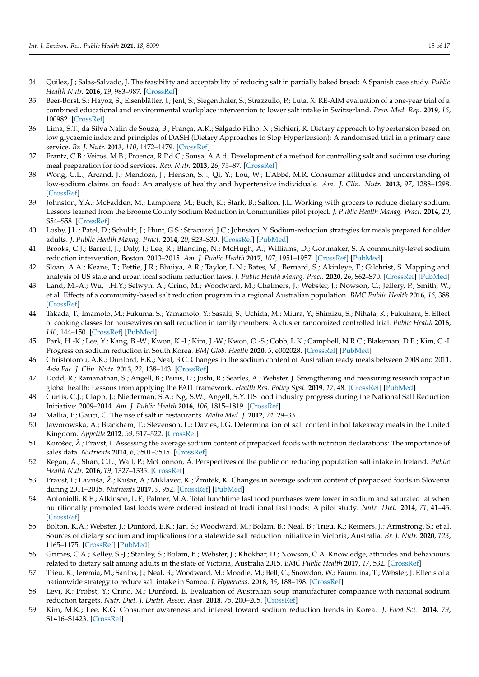- <span id="page-14-0"></span>34. Quilez, J.; Salas-Salvado, J. The feasibility and acceptability of reducing salt in partially baked bread: A Spanish case study. *Public Health Nutr.* **2016**, *19*, 983–987. [\[CrossRef\]](http://doi.org/10.1017/S1368980015000944)
- <span id="page-14-1"></span>35. Beer-Borst, S.; Hayoz, S.; Eisenblätter, J.; Jent, S.; Siegenthaler, S.; Strazzullo, P.; Luta, X. RE-AIM evaluation of a one-year trial of a combined educational and environmental workplace intervention to lower salt intake in Switzerland. *Prev. Med. Rep.* **2019**, *16*, 100982. [\[CrossRef\]](http://doi.org/10.1016/j.pmedr.2019.100982)
- <span id="page-14-2"></span>36. Lima, S.T.; da Silva Nalin de Souza, B.; França, A.K.; Salgado Filho, N.; Sichieri, R. Dietary approach to hypertension based on low glycaemic index and principles of DASH (Dietary Approaches to Stop Hypertension): A randomised trial in a primary care service. *Br. J. Nutr.* **2013**, *110*, 1472–1479. [\[CrossRef\]](http://doi.org/10.1017/S0007114513000718)
- <span id="page-14-3"></span>37. Frantz, C.B.; Veiros, M.B.; Proença, R.P.d.C.; Sousa, A.A.d. Development of a method for controlling salt and sodium use during meal preparation for food services. *Rev. Nutr.* **2013**, *26*, 75–87. [\[CrossRef\]](http://doi.org/10.1590/S1415-52732013000100008)
- <span id="page-14-4"></span>38. Wong, C.L.; Arcand, J.; Mendoza, J.; Henson, S.J.; Qi, Y.; Lou, W.; L'Abbé, M.R. Consumer attitudes and understanding of low-sodium claims on food: An analysis of healthy and hypertensive individuals. *Am. J. Clin. Nutr.* **2013**, *97*, 1288–1298. [\[CrossRef\]](http://doi.org/10.3945/ajcn.112.052910)
- <span id="page-14-5"></span>39. Johnston, Y.A.; McFadden, M.; Lamphere, M.; Buch, K.; Stark, B.; Salton, J.L. Working with grocers to reduce dietary sodium: Lessons learned from the Broome County Sodium Reduction in Communities pilot project. *J. Public Health Manag. Pract.* **2014**, *20*, S54–S58. [\[CrossRef\]](http://doi.org/10.1097/PHH.0b013e3182a0b91a)
- <span id="page-14-6"></span>40. Losby, J.L.; Patel, D.; Schuldt, J.; Hunt, G.S.; Stracuzzi, J.C.; Johnston, Y. Sodium-reduction strategies for meals prepared for older adults. *J. Public Health Manag. Pract.* **2014**, *20*, S23–S30. [\[CrossRef\]](http://doi.org/10.1097/PHH.0b013e3182a0e3ca) [\[PubMed\]](http://www.ncbi.nlm.nih.gov/pubmed/24322812)
- <span id="page-14-7"></span>41. Brooks, C.J.; Barrett, J.; Daly, J.; Lee, R.; Blanding, N.; McHugh, A.; Williams, D.; Gortmaker, S. A community-level sodium reduction intervention, Boston, 2013–2015. *Am. J. Public Health* **2017**, *107*, 1951–1957. [\[CrossRef\]](http://doi.org/10.2105/AJPH.2017.304070) [\[PubMed\]](http://www.ncbi.nlm.nih.gov/pubmed/29048959)
- <span id="page-14-8"></span>42. Sloan, A.A.; Keane, T.; Pettie, J.R.; Bhuiya, A.R.; Taylor, L.N.; Bates, M.; Bernard, S.; Akinleye, F.; Gilchrist, S. Mapping and analysis of US state and urban local sodium reduction laws. *J. Public Health Manag. Pract.* **2020**, *26*, S62–S70. [\[CrossRef\]](http://doi.org/10.1097/PHH.0000000000001124) [\[PubMed\]](http://www.ncbi.nlm.nih.gov/pubmed/32004224)
- <span id="page-14-9"></span>43. Land, M.-A.; Wu, J.H.Y.; Selwyn, A.; Crino, M.; Woodward, M.; Chalmers, J.; Webster, J.; Nowson, C.; Jeffery, P.; Smith, W.; et al. Effects of a community-based salt reduction program in a regional Australian population. *BMC Public Health* **2016**, *16*, 388. [\[CrossRef\]](http://doi.org/10.1186/s12889-016-3064-3)
- <span id="page-14-10"></span>44. Takada, T.; Imamoto, M.; Fukuma, S.; Yamamoto, Y.; Sasaki, S.; Uchida, M.; Miura, Y.; Shimizu, S.; Nihata, K.; Fukuhara, S. Effect of cooking classes for housewives on salt reduction in family members: A cluster randomized controlled trial. *Public Health* **2016**, *140*, 144–150. [\[CrossRef\]](http://doi.org/10.1016/j.puhe.2016.07.005) [\[PubMed\]](http://www.ncbi.nlm.nih.gov/pubmed/27523782)
- <span id="page-14-11"></span>45. Park, H.-K.; Lee, Y.; Kang, B.-W.; Kwon, K.-I.; Kim, J.-W.; Kwon, O.-S.; Cobb, L.K.; Campbell, N.R.C.; Blakeman, D.E.; Kim, C.-I. Progress on sodium reduction in South Korea. *BMJ Glob. Health* **2020**, *5*, e002028. [\[CrossRef\]](http://doi.org/10.1136/bmjgh-2019-002028) [\[PubMed\]](http://www.ncbi.nlm.nih.gov/pubmed/32404470)
- <span id="page-14-12"></span>46. Christoforou, A.K.; Dunford, E.K.; Neal, B.C. Changes in the sodium content of Australian ready meals between 2008 and 2011. *Asia Pac. J. Clin. Nutr.* **2013**, *22*, 138–143. [\[CrossRef\]](http://doi.org/10.6133/apjcn.2013.22.1.10)
- <span id="page-14-13"></span>47. Dodd, R.; Ramanathan, S.; Angell, B.; Peiris, D.; Joshi, R.; Searles, A.; Webster, J. Strengthening and measuring research impact in global health: Lessons from applying the FAIT framework. *Health Res. Policy Syst.* **2019**, *17*, 48. [\[CrossRef\]](http://doi.org/10.1186/s12961-019-0451-0) [\[PubMed\]](http://www.ncbi.nlm.nih.gov/pubmed/31060617)
- <span id="page-14-14"></span>48. Curtis, C.J.; Clapp, J.; Niederman, S.A.; Ng, S.W.; Angell, S.Y. US food industry progress during the National Salt Reduction Initiative: 2009–2014. *Am. J. Public Health* **2016**, *106*, 1815–1819. [\[CrossRef\]](http://doi.org/10.2105/AJPH.2016.303397)
- <span id="page-14-15"></span>49. Mallia, P.; Gauci, C. The use of salt in restaurants. *Malta Med. J.* **2012**, *24*, 29–33.
- <span id="page-14-16"></span>50. Jaworowska, A.; Blackham, T.; Stevenson, L.; Davies, I.G. Determination of salt content in hot takeaway meals in the United Kingdom. *Appetite* **2012**, *59*, 517–522. [\[CrossRef\]](http://doi.org/10.1016/j.appet.2012.06.018)
- <span id="page-14-17"></span>51. Korošec, Ž.; Pravst, I. Assessing the average sodium content of prepacked foods with nutrition declarations: The importance of sales data. *Nutrients* **2014**, *6*, 3501–3515. [\[CrossRef\]](http://doi.org/10.3390/nu6093501)
- <span id="page-14-18"></span>52. Regan, Á.; Shan, C.L.; Wall, P.; McConnon, Á. Perspectives of the public on reducing population salt intake in Ireland. *Public Health Nutr.* **2016**, *19*, 1327–1335. [\[CrossRef\]](http://doi.org/10.1017/S1368980015002530)
- <span id="page-14-19"></span>53. Pravst, I.; Lavriša, Ž.; Kušar, A.; Miklavec, K.; Žmitek, K. Changes in average sodium content of prepacked foods in Slovenia during 2011–2015. *Nutrients* **2017**, *9*, 952. [\[CrossRef\]](http://doi.org/10.3390/nu9090952) [\[PubMed\]](http://www.ncbi.nlm.nih.gov/pubmed/28850061)
- <span id="page-14-20"></span>54. Antoniolli, R.E.; Atkinson, L.F.; Palmer, M.A. Total lunchtime fast food purchases were lower in sodium and saturated fat when nutritionally promoted fast foods were ordered instead of traditional fast foods: A pilot study. *Nutr. Diet.* **2014**, *71*, 41–45. [\[CrossRef\]](http://doi.org/10.1111/1747-0080.12044)
- <span id="page-14-21"></span>55. Bolton, K.A.; Webster, J.; Dunford, E.K.; Jan, S.; Woodward, M.; Bolam, B.; Neal, B.; Trieu, K.; Reimers, J.; Armstrong, S.; et al. Sources of dietary sodium and implications for a statewide salt reduction initiative in Victoria, Australia. *Br. J. Nutr.* **2020**, *123*, 1165–1175. [\[CrossRef\]](http://doi.org/10.1017/S000711452000032X) [\[PubMed\]](http://www.ncbi.nlm.nih.gov/pubmed/31992370)
- <span id="page-14-23"></span>56. Grimes, C.A.; Kelley, S.-J.; Stanley, S.; Bolam, B.; Webster, J.; Khokhar, D.; Nowson, C.A. Knowledge, attitudes and behaviours related to dietary salt among adults in the state of Victoria, Australia 2015. *BMC Public Health* **2017**, *17*, 532. [\[CrossRef\]](http://doi.org/10.1186/s12889-017-4451-0)
- <span id="page-14-22"></span>57. Trieu, K.; Ieremia, M.; Santos, J.; Neal, B.; Woodward, M.; Moodie, M.; Bell, C.; Snowdon, W.; Faumuina, T.; Webster, J. Effects of a nationwide strategy to reduce salt intake in Samoa. *J. Hypertens.* **2018**, *36*, 188–198. [\[CrossRef\]](http://doi.org/10.1097/HJH.0000000000001505)
- <span id="page-14-24"></span>58. Levi, R.; Probst, Y.; Crino, M.; Dunford, E. Evaluation of Australian soup manufacturer compliance with national sodium reduction targets. *Nutr. Diet. J. Dietit. Assoc. Aust.* **2018**, *75*, 200–205. [\[CrossRef\]](http://doi.org/10.1111/1747-0080.12392)
- <span id="page-14-25"></span>59. Kim, M.K.; Lee, K.G. Consumer awareness and interest toward sodium reduction trends in Korea. *J. Food Sci.* **2014**, *79*, S1416–S1423. [\[CrossRef\]](http://doi.org/10.1111/1750-3841.12503)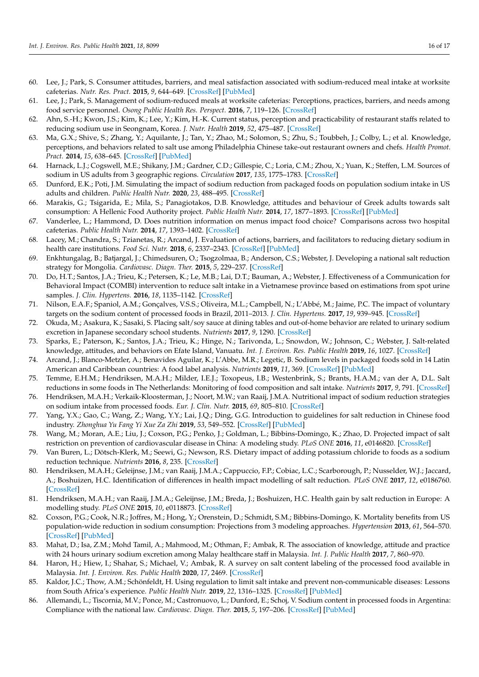- <span id="page-15-0"></span>60. Lee, J.; Park, S. Consumer attitudes, barriers, and meal satisfaction associated with sodium-reduced meal intake at worksite cafeterias. *Nutr. Res. Pract.* **2015**, *9*, 644–649. [\[CrossRef\]](http://doi.org/10.4162/nrp.2015.9.6.644) [\[PubMed\]](http://www.ncbi.nlm.nih.gov/pubmed/26634054)
- <span id="page-15-1"></span>61. Lee, J.; Park, S. Management of sodium-reduced meals at worksite cafeterias: Perceptions, practices, barriers, and needs among food service personnel. *Osong Public Health Res. Perspect.* **2016**, *7*, 119–126. [\[CrossRef\]](http://doi.org/10.1016/j.phrp.2015.12.011)
- <span id="page-15-2"></span>62. Ahn, S.-H.; Kwon, J.S.; Kim, K.; Lee, Y.; Kim, H.-K. Current status, perception and practicability of restaurant staffs related to reducing sodium use in Seongnam, Korea. *J. Nutr. Health* **2019**, *52*, 475–487. [\[CrossRef\]](http://doi.org/10.4163/jnh.2019.52.5.475)
- <span id="page-15-3"></span>63. Ma, G.X.; Shive, S.; Zhang, Y.; Aquilante, J.; Tan, Y.; Zhao, M.; Solomon, S.; Zhu, S.; Toubbeh, J.; Colby, L.; et al. Knowledge, perceptions, and behaviors related to salt use among Philadelphia Chinese take-out restaurant owners and chefs. *Health Promot. Pract.* **2014**, *15*, 638–645. [\[CrossRef\]](http://doi.org/10.1177/1524839914538816) [\[PubMed\]](http://www.ncbi.nlm.nih.gov/pubmed/24942751)
- <span id="page-15-4"></span>64. Harnack, L.J.; Cogswell, M.E.; Shikany, J.M.; Gardner, C.D.; Gillespie, C.; Loria, C.M.; Zhou, X.; Yuan, K.; Steffen, L.M. Sources of sodium in US adults from 3 geographic regions. *Circulation* **2017**, *135*, 1775–1783. [\[CrossRef\]](http://doi.org/10.1161/CIRCULATIONAHA.116.024446)
- <span id="page-15-5"></span>65. Dunford, E.K.; Poti, J.M. Simulating the impact of sodium reduction from packaged foods on population sodium intake in US adults and children. *Public Health Nutr.* **2020**, *23*, 488–495. [\[CrossRef\]](http://doi.org/10.1017/S1368980019002696)
- <span id="page-15-6"></span>66. Marakis, G.; Tsigarida, E.; Mila, S.; Panagiotakos, D.B. Knowledge, attitudes and behaviour of Greek adults towards salt consumption: A Hellenic Food Authority project. *Public Health Nutr.* **2014**, *17*, 1877–1893. [\[CrossRef\]](http://doi.org/10.1017/S1368980013002255) [\[PubMed\]](http://www.ncbi.nlm.nih.gov/pubmed/24171893)
- <span id="page-15-7"></span>67. Vanderlee, L.; Hammond, D. Does nutrition information on menus impact food choice? Comparisons across two hospital cafeterias. *Public Health Nutr.* **2014**, *17*, 1393–1402. [\[CrossRef\]](http://doi.org/10.1017/S136898001300164X)
- <span id="page-15-8"></span>68. Lacey, M.; Chandra, S.; Tzianetas, R.; Arcand, J. Evaluation of actions, barriers, and facilitators to reducing dietary sodium in health care institutions. *Food Sci. Nutr.* **2018**, *6*, 2337–2343. [\[CrossRef\]](http://doi.org/10.1002/fsn3.814) [\[PubMed\]](http://www.ncbi.nlm.nih.gov/pubmed/30510733)
- <span id="page-15-9"></span>69. Enkhtungalag, B.; Batjargal, J.; Chimedsuren, O.; Tsogzolmaa, B.; Anderson, C.S.; Webster, J. Developing a national salt reduction strategy for Mongolia. *Cardiovasc. Diagn. Ther.* **2015**, *5*, 229–237. [\[CrossRef\]](http://doi.org/10.3978/j.issn.2223-3652.2015.04.11)
- <span id="page-15-10"></span>70. Do, H.T.; Santos, J.A.; Trieu, K.; Petersen, K.; Le, M.B.; Lai, D.T.; Bauman, A.; Webster, J. Effectiveness of a Communication for Behavioral Impact (COMBI) intervention to reduce salt intake in a Vietnamese province based on estimations from spot urine samples. *J. Clin. Hypertens.* **2016**, *18*, 1135–1142. [\[CrossRef\]](http://doi.org/10.1111/jch.12884)
- <span id="page-15-11"></span>71. Nilson, E.A.F.; Spaniol, A.M.; Gonçalves, V.S.S.; Oliveira, M.L.; Campbell, N.; L'Abbé, M.; Jaime, P.C. The impact of voluntary targets on the sodium content of processed foods in Brazil, 2011–2013. *J. Clin. Hypertens.* **2017**, *19*, 939–945. [\[CrossRef\]](http://doi.org/10.1111/jch.13044)
- <span id="page-15-12"></span>72. Okuda, M.; Asakura, K.; Sasaki, S. Placing salt/soy sauce at dining tables and out-of-home behavior are related to urinary sodium excretion in Japanese secondary school students. *Nutrients* **2017**, *9*, 1290. [\[CrossRef\]](http://doi.org/10.3390/nu9121290)
- <span id="page-15-13"></span>73. Sparks, E.; Paterson, K.; Santos, J.A.; Trieu, K.; Hinge, N.; Tarivonda, L.; Snowdon, W.; Johnson, C.; Webster, J. Salt-related knowledge, attitudes, and behaviors on Efate Island, Vanuatu. *Int. J. Environ. Res. Public Health* **2019**, *16*, 1027. [\[CrossRef\]](http://doi.org/10.3390/ijerph16061027)
- <span id="page-15-14"></span>74. Arcand, J.; Blanco-Metzler, A.; Benavides Aguilar, K.; L'Abbe, M.R.; Legetic, B. Sodium levels in packaged foods sold in 14 Latin American and Caribbean countries: A food label analysis. *Nutrients* **2019**, *11*, 369. [\[CrossRef\]](http://doi.org/10.3390/nu11020369) [\[PubMed\]](http://www.ncbi.nlm.nih.gov/pubmed/30754646)
- <span id="page-15-15"></span>75. Temme, E.H.M.; Hendriksen, M.A.H.; Milder, I.E.J.; Toxopeus, I.B.; Westenbrink, S.; Brants, H.A.M.; van der A, D.L. Salt reductions in some foods in The Netherlands: Monitoring of food composition and salt intake. *Nutrients* **2017**, *9*, 791. [\[CrossRef\]](http://doi.org/10.3390/nu9070791)
- <span id="page-15-16"></span>76. Hendriksen, M.A.H.; Verkaik-Kloosterman, J.; Noort, M.W.; van Raaij, J.M.A. Nutritional impact of sodium reduction strategies on sodium intake from processed foods. *Eur. J. Clin. Nutr.* **2015**, *69*, 805–810. [\[CrossRef\]](http://doi.org/10.1038/ejcn.2015.15)
- <span id="page-15-17"></span>77. Yang, Y.X.; Gao, C.; Wang, Z.; Wang, Y.Y.; Lai, J.Q.; Ding, G.G. Introduction to guidelines for salt reduction in Chinese food industry. *Zhonghua Yu Fang Yi Xue Za Zhi* **2019**, *53*, 549–552. [\[CrossRef\]](http://doi.org/10.3760/cma.j.issn.0253-9624.2019.06.002) [\[PubMed\]](http://www.ncbi.nlm.nih.gov/pubmed/31177748)
- <span id="page-15-18"></span>78. Wang, M.; Moran, A.E.; Liu, J.; Coxson, P.G.; Penko, J.; Goldman, L.; Bibbins-Domingo, K.; Zhao, D. Projected impact of salt restriction on prevention of cardiovascular disease in China: A modeling study. *PLoS ONE* **2016**, *11*, e0146820. [\[CrossRef\]](http://doi.org/10.1371/journal.pone.0146820)
- <span id="page-15-19"></span>79. Van Buren, L.; Dötsch-Klerk, M.; Seewi, G.; Newson, R.S. Dietary impact of adding potassium chloride to foods as a sodium reduction technique. *Nutrients* **2016**, *8*, 235. [\[CrossRef\]](http://doi.org/10.3390/nu8040235)
- <span id="page-15-22"></span>80. Hendriksen, M.A.H.; Geleijnse, J.M.; van Raaij, J.M.A.; Cappuccio, F.P.; Cobiac, L.C.; Scarborough, P.; Nusselder, W.J.; Jaccard, A.; Boshuizen, H.C. Identification of differences in health impact modelling of salt reduction. *PLoS ONE* **2017**, *12*, e0186760. [\[CrossRef\]](http://doi.org/10.1371/journal.pone.0186760)
- <span id="page-15-20"></span>81. Hendriksen, M.A.H.; van Raaij, J.M.A.; Geleijnse, J.M.; Breda, J.; Boshuizen, H.C. Health gain by salt reduction in Europe: A modelling study. *PLoS ONE* **2015**, *10*, e0118873. [\[CrossRef\]](http://doi.org/10.1371/journal.pone.0118873)
- <span id="page-15-21"></span>82. Coxson, P.G.; Cook, N.R.; Joffres, M.; Hong, Y.; Orenstein, D.; Schmidt, S.M.; Bibbins-Domingo, K. Mortality benefits from US population-wide reduction in sodium consumption: Projections from 3 modeling approaches. *Hypertension* **2013**, *61*, 564–570. [\[CrossRef\]](http://doi.org/10.1161/HYPERTENSIONAHA.111.201293) [\[PubMed\]](http://www.ncbi.nlm.nih.gov/pubmed/23399718)
- <span id="page-15-23"></span>83. Mahat, D.; Isa, Z.M.; Mohd Tamil, A.; Mahmood, M.; Othman, F.; Ambak, R. The association of knowledge, attitude and practice with 24 hours urinary sodium excretion among Malay healthcare staff in Malaysia. *Int. J. Public Health* **2017**, *7*, 860–970.
- <span id="page-15-24"></span>84. Haron, H.; Hiew, I.; Shahar, S.; Michael, V.; Ambak, R. A survey on salt content labeling of the processed food available in Malaysia. *Int. J. Environ. Res. Public Health* **2020**, *17*, 2469. [\[CrossRef\]](http://doi.org/10.3390/ijerph17072469)
- <span id="page-15-25"></span>85. Kaldor, J.C.; Thow, A.M.; Schönfeldt, H. Using regulation to limit salt intake and prevent non-communicable diseases: Lessons from South Africa's experience. *Public Health Nutr.* **2019**, *22*, 1316–1325. [\[CrossRef\]](http://doi.org/10.1017/S1368980018003166) [\[PubMed\]](http://www.ncbi.nlm.nih.gov/pubmed/30587266)
- <span id="page-15-26"></span>86. Allemandi, L.; Tiscornia, M.V.; Ponce, M.; Castronuovo, L.; Dunford, E.; Schoj, V. Sodium content in processed foods in Argentina: Compliance with the national law. *Cardiovasc. Diagn. Ther.* **2015**, *5*, 197–206. [\[CrossRef\]](http://doi.org/10.3978/j.issn.2223-3652.2015.04.01) [\[PubMed\]](http://www.ncbi.nlm.nih.gov/pubmed/26090331)